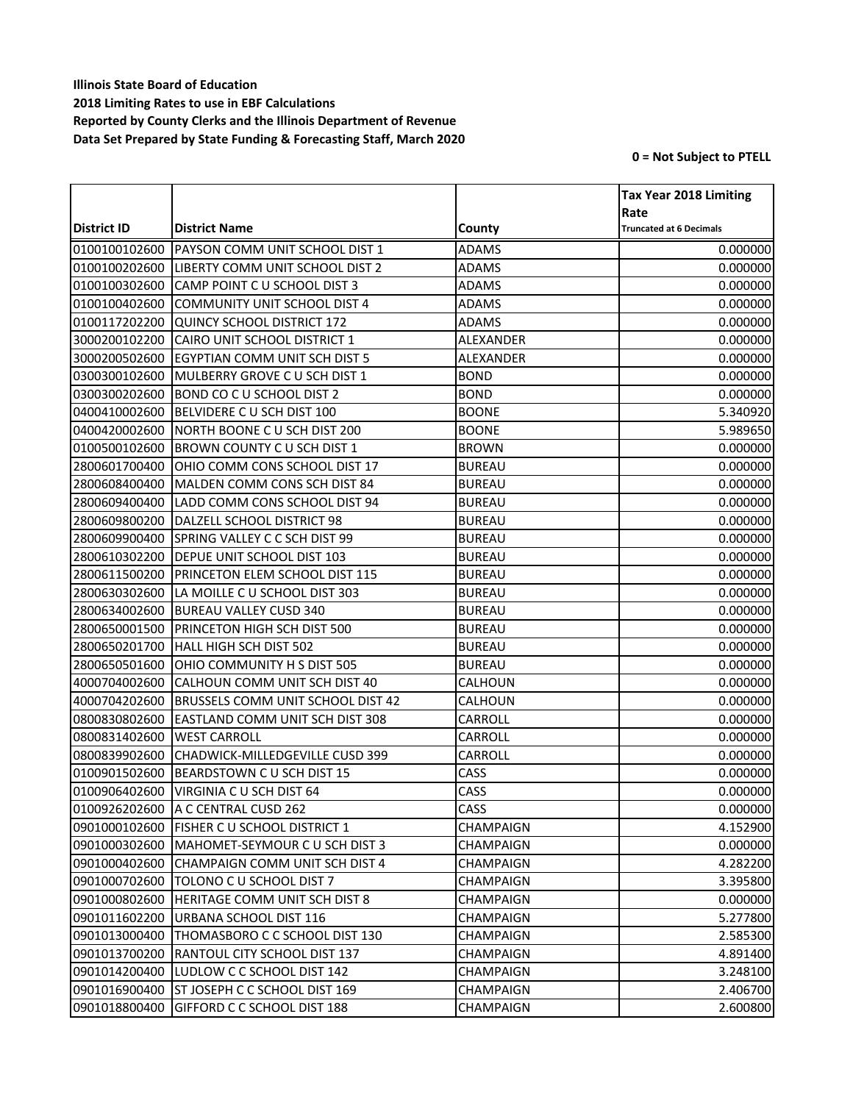|               |                                          |                  | <b>Tax Year 2018 Limiting</b>          |
|---------------|------------------------------------------|------------------|----------------------------------------|
| District ID   | <b>District Name</b>                     | County           | Rate<br><b>Truncated at 6 Decimals</b> |
| 0100100102600 | PAYSON COMM UNIT SCHOOL DIST 1           | <b>ADAMS</b>     | 0.000000                               |
| 0100100202600 | LIBERTY COMM UNIT SCHOOL DIST 2          | <b>ADAMS</b>     | 0.000000                               |
| 0100100302600 | CAMP POINT C U SCHOOL DIST 3             | <b>ADAMS</b>     | 0.000000                               |
| 0100100402600 | COMMUNITY UNIT SCHOOL DIST 4             | <b>ADAMS</b>     | 0.000000                               |
| 0100117202200 | QUINCY SCHOOL DISTRICT 172               | <b>ADAMS</b>     | 0.000000                               |
| 3000200102200 | CAIRO UNIT SCHOOL DISTRICT 1             | ALEXANDER        | 0.000000                               |
| 3000200502600 | <b>EGYPTIAN COMM UNIT SCH DIST 5</b>     | <b>ALEXANDER</b> | 0.000000                               |
| 0300300102600 | MULBERRY GROVE C U SCH DIST 1            | <b>BOND</b>      | 0.000000                               |
| 0300300202600 | BOND CO C U SCHOOL DIST 2                | <b>BOND</b>      | 0.000000                               |
| 0400410002600 | BELVIDERE C U SCH DIST 100               | <b>BOONE</b>     | 5.340920                               |
| 0400420002600 | NORTH BOONE C U SCH DIST 200             | <b>BOONE</b>     | 5.989650                               |
| 0100500102600 | BROWN COUNTY C U SCH DIST 1              | <b>BROWN</b>     | 0.000000                               |
| 2800601700400 | OHIO COMM CONS SCHOOL DIST 17            | <b>BUREAU</b>    | 0.000000                               |
| 2800608400400 | MALDEN COMM CONS SCH DIST 84             | <b>BUREAU</b>    | 0.000000                               |
| 2800609400400 | LADD COMM CONS SCHOOL DIST 94            | <b>BUREAU</b>    | 0.000000                               |
| 2800609800200 | DALZELL SCHOOL DISTRICT 98               | <b>BUREAU</b>    | 0.000000                               |
| 2800609900400 | SPRING VALLEY C C SCH DIST 99            | <b>BUREAU</b>    | 0.000000                               |
| 2800610302200 | <b>DEPUE UNIT SCHOOL DIST 103</b>        | <b>BUREAU</b>    | 0.000000                               |
| 2800611500200 | <b>PRINCETON ELEM SCHOOL DIST 115</b>    | <b>BUREAU</b>    | 0.000000                               |
| 2800630302600 | LA MOILLE C U SCHOOL DIST 303            | <b>BUREAU</b>    | 0.000000                               |
| 2800634002600 | <b>BUREAU VALLEY CUSD 340</b>            | <b>BUREAU</b>    | 0.000000                               |
| 2800650001500 | <b>PRINCETON HIGH SCH DIST 500</b>       | <b>BUREAU</b>    | 0.000000                               |
| 2800650201700 | HALL HIGH SCH DIST 502                   | <b>BUREAU</b>    | 0.000000                               |
| 2800650501600 | OHIO COMMUNITY H S DIST 505              | <b>BUREAU</b>    | 0.000000                               |
| 4000704002600 | CALHOUN COMM UNIT SCH DIST 40            | CALHOUN          | 0.000000                               |
| 4000704202600 | <b>BRUSSELS COMM UNIT SCHOOL DIST 42</b> | CALHOUN          | 0.000000                               |
| 0800830802600 | <b>EASTLAND COMM UNIT SCH DIST 308</b>   | CARROLL          | 0.000000                               |
| 0800831402600 | <b>WEST CARROLL</b>                      | CARROLL          | 0.000000                               |
| 0800839902600 | CHADWICK-MILLEDGEVILLE CUSD 399          | CARROLL          | 0.000000                               |
| 0100901502600 | BEARDSTOWN C U SCH DIST 15               | CASS             | 0.000000                               |
| 0100906402600 | VIRGINIA C U SCH DIST 64                 | CASS             | 0.000000                               |
|               | 0100926202600 A C CENTRAL CUSD 262       | CASS             | 0.000000                               |
| 0901000102600 | <b>FISHER C U SCHOOL DISTRICT 1</b>      | CHAMPAIGN        | 4.152900                               |
| 0901000302600 | <b>IMAHOMET-SEYMOUR C U SCH DIST 3</b>   | CHAMPAIGN        | 0.000000                               |
| 0901000402600 | CHAMPAIGN COMM UNIT SCH DIST 4           | CHAMPAIGN        | 4.282200                               |
| 0901000702600 | TOLONO C U SCHOOL DIST 7                 | <b>CHAMPAIGN</b> | 3.395800                               |
| 0901000802600 | <b>HERITAGE COMM UNIT SCH DIST 8</b>     | CHAMPAIGN        | 0.000000                               |
| 0901011602200 | URBANA SCHOOL DIST 116                   | CHAMPAIGN        | 5.277800                               |
| 0901013000400 | THOMASBORO C C SCHOOL DIST 130           | CHAMPAIGN        | 2.585300                               |
| 0901013700200 | IRANTOUL CITY SCHOOL DIST 137            | CHAMPAIGN        | 4.891400                               |
| 0901014200400 | LUDLOW C C SCHOOL DIST 142               | CHAMPAIGN        | 3.248100                               |
| 0901016900400 | ST JOSEPH C C SCHOOL DIST 169            | CHAMPAIGN        | 2.406700                               |
| 0901018800400 | GIFFORD C C SCHOOL DIST 188              | CHAMPAIGN        | 2.600800                               |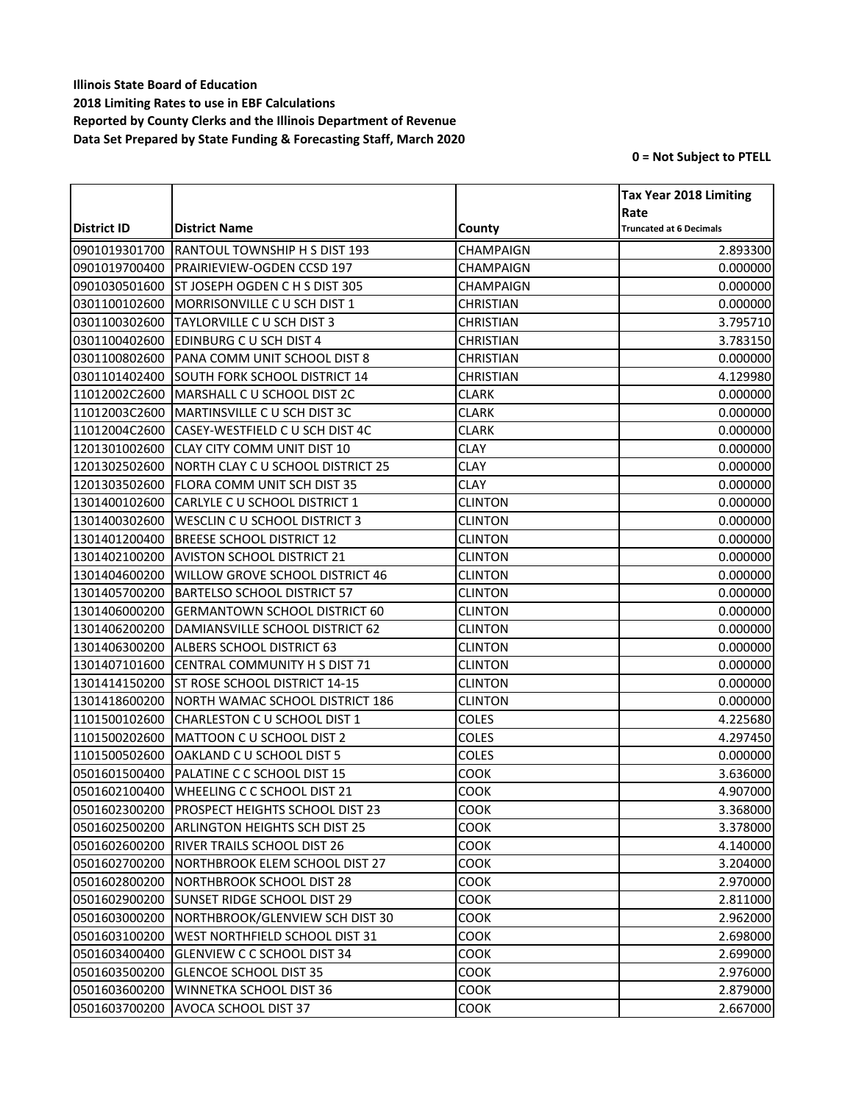|               |                                       |                  | <b>Tax Year 2018 Limiting</b>          |
|---------------|---------------------------------------|------------------|----------------------------------------|
| District ID   | <b>District Name</b>                  | County           | Rate<br><b>Truncated at 6 Decimals</b> |
| 0901019301700 | <b>RANTOUL TOWNSHIP H S DIST 193</b>  | CHAMPAIGN        | 2.893300                               |
| 0901019700400 | <b>PRAIRIEVIEW-OGDEN CCSD 197</b>     | CHAMPAIGN        | 0.000000                               |
| 0901030501600 | <b>ST JOSEPH OGDEN C H S DIST 305</b> | CHAMPAIGN        | 0.000000                               |
| 0301100102600 | MORRISONVILLE C U SCH DIST 1          | <b>CHRISTIAN</b> | 0.000000                               |
| 0301100302600 | TAYLORVILLE C U SCH DIST 3            | CHRISTIAN        | 3.795710                               |
| 0301100402600 | <b>EDINBURG C U SCH DIST 4</b>        | <b>CHRISTIAN</b> | 3.783150                               |
| 0301100802600 | PANA COMM UNIT SCHOOL DIST 8          | <b>CHRISTIAN</b> | 0.000000                               |
| 0301101402400 | <b>SOUTH FORK SCHOOL DISTRICT 14</b>  | <b>CHRISTIAN</b> | 4.129980                               |
| 11012002C2600 | MARSHALL C U SCHOOL DIST 2C           | <b>CLARK</b>     | 0.000000                               |
| 11012003C2600 | MARTINSVILLE C U SCH DIST 3C          | <b>CLARK</b>     | 0.000000                               |
| 11012004C2600 | CASEY-WESTFIELD C U SCH DIST 4C       | <b>CLARK</b>     | 0.000000                               |
| 1201301002600 | CLAY CITY COMM UNIT DIST 10           | <b>CLAY</b>      | 0.000000                               |
| 1201302502600 | NORTH CLAY C U SCHOOL DISTRICT 25     | <b>CLAY</b>      | 0.000000                               |
| 1201303502600 | FLORA COMM UNIT SCH DIST 35           | CLAY             | 0.000000                               |
| 1301400102600 | CARLYLE C U SCHOOL DISTRICT 1         | <b>CLINTON</b>   | 0.000000                               |
| 1301400302600 | <b>WESCLIN C U SCHOOL DISTRICT 3</b>  | <b>CLINTON</b>   | 0.000000                               |
| 1301401200400 | <b>BREESE SCHOOL DISTRICT 12</b>      | <b>CLINTON</b>   | 0.000000                               |
| 1301402100200 | <b>AVISTON SCHOOL DISTRICT 21</b>     | <b>CLINTON</b>   | 0.000000                               |
| 1301404600200 | WILLOW GROVE SCHOOL DISTRICT 46       | <b>CLINTON</b>   | 0.000000                               |
| 1301405700200 | <b>BARTELSO SCHOOL DISTRICT 57</b>    | <b>CLINTON</b>   | 0.000000                               |
| 1301406000200 | <b>GERMANTOWN SCHOOL DISTRICT 60</b>  | <b>CLINTON</b>   | 0.000000                               |
| 1301406200200 | DAMIANSVILLE SCHOOL DISTRICT 62       | <b>CLINTON</b>   | 0.000000                               |
| 1301406300200 | ALBERS SCHOOL DISTRICT 63             | <b>CLINTON</b>   | 0.000000                               |
| 1301407101600 | CENTRAL COMMUNITY H S DIST 71         | <b>CLINTON</b>   | 0.000000                               |
| 1301414150200 | <b>ST ROSE SCHOOL DISTRICT 14-15</b>  | <b>CLINTON</b>   | 0.000000                               |
| 1301418600200 | NORTH WAMAC SCHOOL DISTRICT 186       | <b>CLINTON</b>   | 0.000000                               |
| 1101500102600 | CHARLESTON C U SCHOOL DIST 1          | COLES            | 4.225680                               |
| 1101500202600 | MATTOON C U SCHOOL DIST 2             | COLES            | 4.297450                               |
| 1101500502600 | OAKLAND C U SCHOOL DIST 5             | COLES            | 0.000000                               |
| 0501601500400 | PALATINE C C SCHOOL DIST 15           | COOK             | 3.636000                               |
| 0501602100400 | <b>WHEELING C C SCHOOL DIST 21</b>    | COOK             | 4.907000                               |
| 0501602300200 | PROSPECT HEIGHTS SCHOOL DIST 23       | COOK             | 3.368000                               |
| 0501602500200 | <b>ARLINGTON HEIGHTS SCH DIST 25</b>  | COOK             | 3.378000                               |
| 0501602600200 | <b>RIVER TRAILS SCHOOL DIST 26</b>    | COOK             | 4.140000                               |
| 0501602700200 | NORTHBROOK ELEM SCHOOL DIST 27        | COOK             | 3.204000                               |
| 0501602800200 | NORTHBROOK SCHOOL DIST 28             | COOK             | 2.970000                               |
| 0501602900200 | <b>ISUNSET RIDGE SCHOOL DIST 29</b>   | COOK             | 2.811000                               |
| 0501603000200 | NORTHBROOK/GLENVIEW SCH DIST 30       | COOK             | 2.962000                               |
| 0501603100200 | WEST NORTHFIELD SCHOOL DIST 31        | COOK             | 2.698000                               |
| 0501603400400 | <b>GLENVIEW C C SCHOOL DIST 34</b>    | COOK             | 2.699000                               |
| 0501603500200 | <b>GLENCOE SCHOOL DIST 35</b>         | COOK             | 2.976000                               |
| 0501603600200 | WINNETKA SCHOOL DIST 36               | <b>COOK</b>      | 2.879000                               |
| 0501603700200 | AVOCA SCHOOL DIST 37                  | COOK             | 2.667000                               |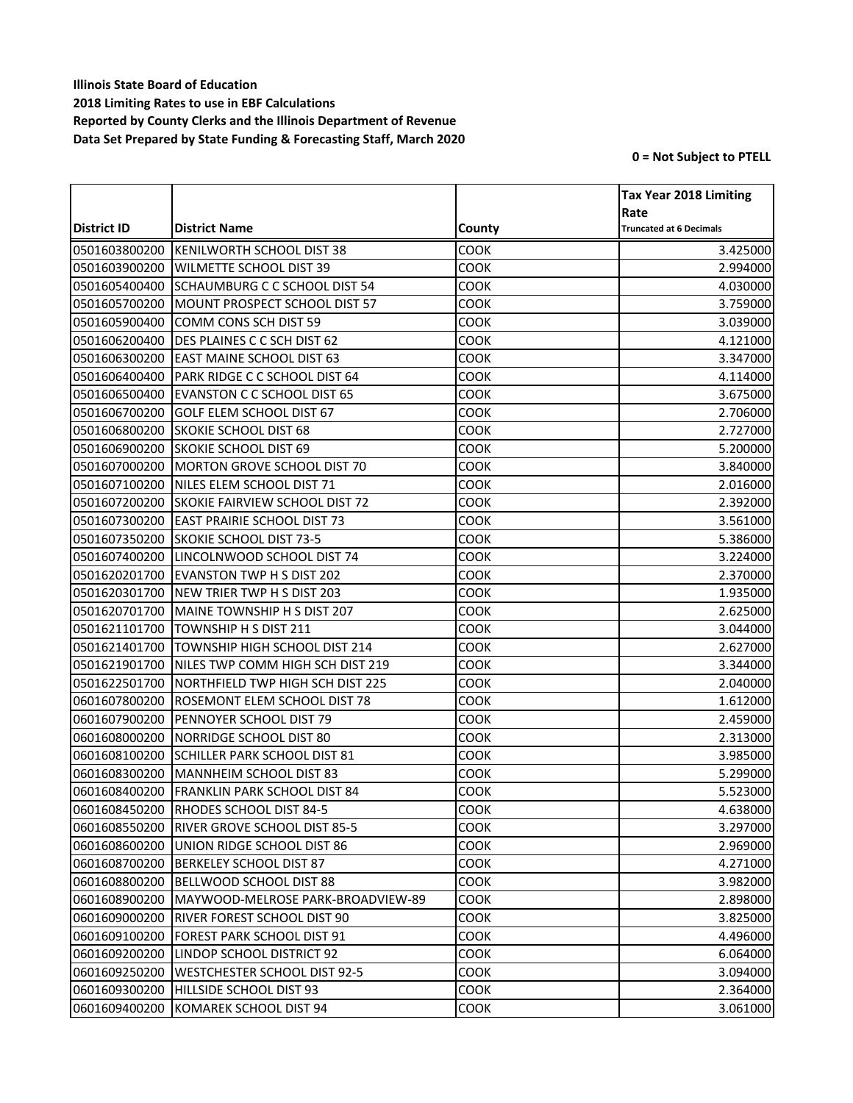|               |                                       |        | <b>Tax Year 2018 Limiting</b>  |
|---------------|---------------------------------------|--------|--------------------------------|
|               |                                       |        | Rate                           |
| District ID   | <b>District Name</b>                  | County | <b>Truncated at 6 Decimals</b> |
| 0501603800200 | KENILWORTH SCHOOL DIST 38             | COOK   | 3.425000                       |
| 0501603900200 | <b>WILMETTE SCHOOL DIST 39</b>        | COOK   | 2.994000                       |
| 0501605400400 | SCHAUMBURG C C SCHOOL DIST 54         | COOK   | 4.030000                       |
| 0501605700200 | MOUNT PROSPECT SCHOOL DIST 57         | COOK   | 3.759000                       |
| 0501605900400 | COMM CONS SCH DIST 59                 | COOK   | 3.039000                       |
| 0501606200400 | <b>DES PLAINES C C SCH DIST 62</b>    | COOK   | 4.121000                       |
| 0501606300200 | <b>EAST MAINE SCHOOL DIST 63</b>      | COOK   | 3.347000                       |
| 0501606400400 | PARK RIDGE C C SCHOOL DIST 64         | COOK   | 4.114000                       |
| 0501606500400 | <b>EVANSTON C C SCHOOL DIST 65</b>    | COOK   | 3.675000                       |
| 0501606700200 | <b>GOLF ELEM SCHOOL DIST 67</b>       | COOK   | 2.706000                       |
| 0501606800200 | <b>SKOKIE SCHOOL DIST 68</b>          | COOK   | 2.727000                       |
| 0501606900200 | <b>ISKOKIE SCHOOL DIST 69</b>         | COOK   | 5.200000                       |
| 0501607000200 | MORTON GROVE SCHOOL DIST 70           | COOK   | 3.840000                       |
| 0501607100200 | NILES ELEM SCHOOL DIST 71             | COOK   | 2.016000                       |
| 0501607200200 | <b>SKOKIE FAIRVIEW SCHOOL DIST 72</b> | COOK   | 2.392000                       |
| 0501607300200 | <b>EAST PRAIRIE SCHOOL DIST 73</b>    | COOK   | 3.561000                       |
| 0501607350200 | <b>SKOKIE SCHOOL DIST 73-5</b>        | COOK   | 5.386000                       |
| 0501607400200 | LINCOLNWOOD SCHOOL DIST 74            | COOK   | 3.224000                       |
| 0501620201700 | <b>EVANSTON TWP H S DIST 202</b>      | COOK   | 2.370000                       |
| 0501620301700 | NEW TRIER TWP H S DIST 203            | COOK   | 1.935000                       |
| 0501620701700 | MAINE TOWNSHIP H S DIST 207           | COOK   | 2.625000                       |
| 0501621101700 | TOWNSHIP H S DIST 211                 | COOK   | 3.044000                       |
| 0501621401700 | TOWNSHIP HIGH SCHOOL DIST 214         | COOK   | 2.627000                       |
| 0501621901700 | NILES TWP COMM HIGH SCH DIST 219      | COOK   | 3.344000                       |
| 0501622501700 | NORTHFIELD TWP HIGH SCH DIST 225      | COOK   | 2.040000                       |
| 0601607800200 | <b>ROSEMONT ELEM SCHOOL DIST 78</b>   | COOK   | 1.612000                       |
| 0601607900200 | PENNOYER SCHOOL DIST 79               | COOK   | 2.459000                       |
| 0601608000200 | NORRIDGE SCHOOL DIST 80               | COOK   | 2.313000                       |
| 0601608100200 | <b>SCHILLER PARK SCHOOL DIST 81</b>   | COOK   | 3.985000                       |
| 0601608300200 | MANNHEIM SCHOOL DIST 83               | COOK   | 5.299000                       |
| 0601608400200 | <b>FRANKLIN PARK SCHOOL DIST 84</b>   | COOK   | 5.523000                       |
| 0601608450200 | RHODES SCHOOL DIST 84-5               | COOK   | 4.638000                       |
| 0601608550200 | <b>IRIVER GROVE SCHOOL DIST 85-5</b>  | COOK   | 3.297000                       |
| 0601608600200 | UNION RIDGE SCHOOL DIST 86            | COOK   | 2.969000                       |
| 0601608700200 | <b>BERKELEY SCHOOL DIST 87</b>        | COOK   | 4.271000                       |
| 0601608800200 | BELLWOOD SCHOOL DIST 88               | COOK   | 3.982000                       |
| 0601608900200 | MAYWOOD-MELROSE PARK-BROADVIEW-89     | COOK   | 2.898000                       |
| 0601609000200 | <b>RIVER FOREST SCHOOL DIST 90</b>    | COOK   | 3.825000                       |
| 0601609100200 | <b>FOREST PARK SCHOOL DIST 91</b>     | COOK   | 4.496000                       |
| 0601609200200 | LINDOP SCHOOL DISTRICT 92             | COOK   | 6.064000                       |
| 0601609250200 | <b>WESTCHESTER SCHOOL DIST 92-5</b>   | COOK   | 3.094000                       |
| 0601609300200 | HILLSIDE SCHOOL DIST 93               | COOK   | 2.364000                       |
| 0601609400200 | KOMAREK SCHOOL DIST 94                | COOK   | 3.061000                       |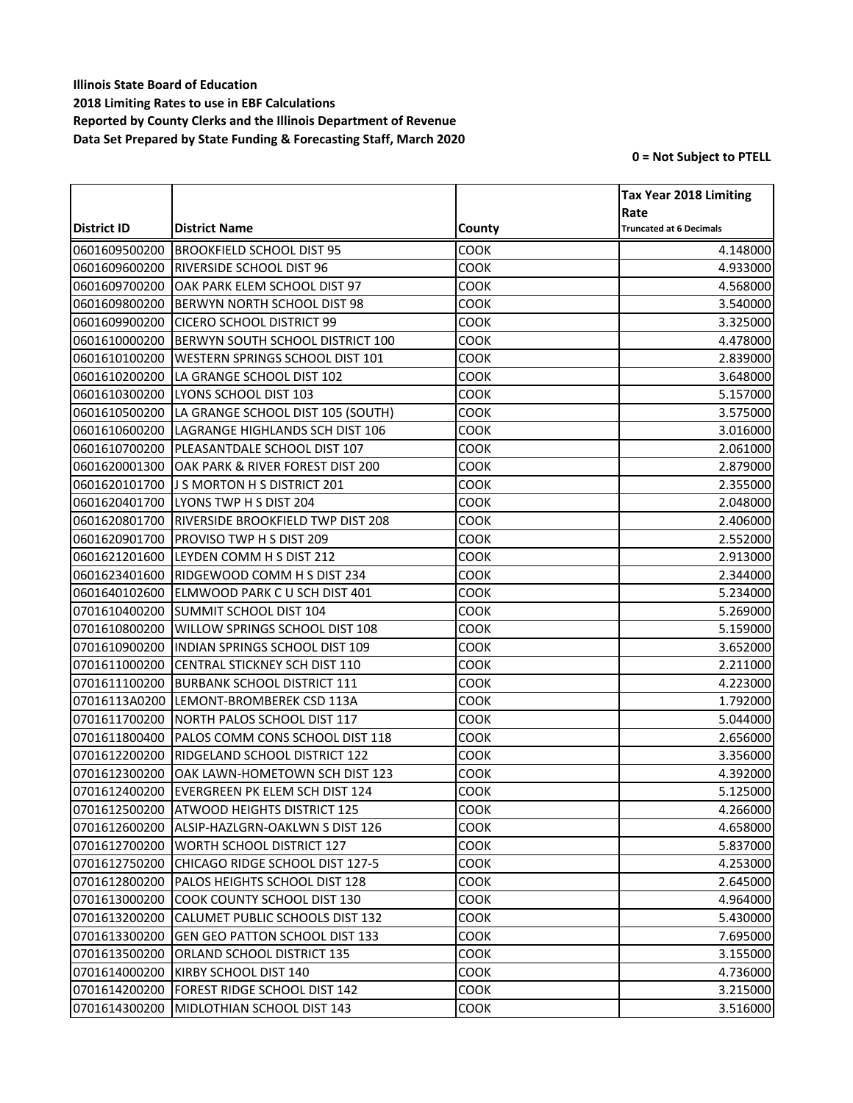|               |                                           |             | <b>Tax Year 2018 Limiting</b>  |
|---------------|-------------------------------------------|-------------|--------------------------------|
|               |                                           |             | Rate                           |
| District ID   | <b>District Name</b>                      | County      | <b>Truncated at 6 Decimals</b> |
| 0601609500200 | <b>BROOKFIELD SCHOOL DIST 95</b>          | COOK        | 4.148000                       |
| 0601609600200 | <b>RIVERSIDE SCHOOL DIST 96</b>           | COOK        | 4.933000                       |
| 0601609700200 | OAK PARK ELEM SCHOOL DIST 97              | COOK        | 4.568000                       |
| 0601609800200 | <b>BERWYN NORTH SCHOOL DIST 98</b>        | COOK        | 3.540000                       |
| 0601609900200 | <b>CICERO SCHOOL DISTRICT 99</b>          | COOK        | 3.325000                       |
| 0601610000200 | BERWYN SOUTH SCHOOL DISTRICT 100          | COOK        | 4.478000                       |
| 0601610100200 | <b>WESTERN SPRINGS SCHOOL DIST 101</b>    | COOK        | 2.839000                       |
| 0601610200200 | LA GRANGE SCHOOL DIST 102                 | COOK        | 3.648000                       |
| 0601610300200 | LYONS SCHOOL DIST 103                     | COOK        | 5.157000                       |
| 0601610500200 | LA GRANGE SCHOOL DIST 105 (SOUTH)         | COOK        | 3.575000                       |
| 0601610600200 | LAGRANGE HIGHLANDS SCH DIST 106           | COOK        | 3.016000                       |
| 0601610700200 | PLEASANTDALE SCHOOL DIST 107              | COOK        | 2.061000                       |
| 0601620001300 | OAK PARK & RIVER FOREST DIST 200          | COOK        | 2.879000                       |
| 0601620101700 | <b>JS MORTON H S DISTRICT 201</b>         | COOK        | 2.355000                       |
| 0601620401700 | LYONS TWP H S DIST 204                    | COOK        | 2.048000                       |
| 0601620801700 | <b>RIVERSIDE BROOKFIELD TWP DIST 208</b>  | COOK        | 2.406000                       |
| 0601620901700 | <b>PROVISO TWP H S DIST 209</b>           | COOK        | 2.552000                       |
| 0601621201600 | LEYDEN COMM H S DIST 212                  | COOK        | 2.913000                       |
| 0601623401600 | RIDGEWOOD COMM H S DIST 234               | COOK        | 2.344000                       |
| 0601640102600 | ELMWOOD PARK C U SCH DIST 401             | COOK        | 5.234000                       |
| 0701610400200 | <b>SUMMIT SCHOOL DIST 104</b>             | COOK        | 5.269000                       |
| 0701610800200 | <b>WILLOW SPRINGS SCHOOL DIST 108</b>     | COOK        | 5.159000                       |
| 0701610900200 | <b>INDIAN SPRINGS SCHOOL DIST 109</b>     | COOK        | 3.652000                       |
| 0701611000200 | <b>CENTRAL STICKNEY SCH DIST 110</b>      | COOK        | 2.211000                       |
| 0701611100200 | <b>BURBANK SCHOOL DISTRICT 111</b>        | COOK        | 4.223000                       |
| 07016113A0200 | LEMONT-BROMBEREK CSD 113A                 | COOK        | 1.792000                       |
| 0701611700200 | NORTH PALOS SCHOOL DIST 117               | COOK        | 5.044000                       |
| 0701611800400 | PALOS COMM CONS SCHOOL DIST 118           | COOK        | 2.656000                       |
| 0701612200200 | RIDGELAND SCHOOL DISTRICT 122             | COOK        | 3.356000                       |
| 0701612300200 | OAK LAWN-HOMETOWN SCH DIST 123            | COOK        | 4.392000                       |
| 0701612400200 | EVERGREEN PK ELEM SCH DIST 124            | COOK        | 5.125000                       |
|               | 0701612500200 ATWOOD HEIGHTS DISTRICT 125 | COOK        | 4.266000                       |
| 0701612600200 | IALSIP-HAZLGRN-OAKLWN S DIST 126          | COOK        | 4.658000                       |
| 0701612700200 | <b>WORTH SCHOOL DISTRICT 127</b>          | COOK        | 5.837000                       |
| 0701612750200 | CHICAGO RIDGE SCHOOL DIST 127-5           | COOK        | 4.253000                       |
| 0701612800200 | PALOS HEIGHTS SCHOOL DIST 128             | COOK        | 2.645000                       |
| 0701613000200 | ICOOK COUNTY SCHOOL DIST 130              | COOK        | 4.964000                       |
| 0701613200200 | CALUMET PUBLIC SCHOOLS DIST 132           | COOK        | 5.430000                       |
| 0701613300200 | <b>GEN GEO PATTON SCHOOL DIST 133</b>     | COOK        | 7.695000                       |
| 0701613500200 | ORLAND SCHOOL DISTRICT 135                | COOK        | 3.155000                       |
| 0701614000200 | KIRBY SCHOOL DIST 140                     | COOK        | 4.736000                       |
| 0701614200200 | <b>FOREST RIDGE SCHOOL DIST 142</b>       | <b>COOK</b> | 3.215000                       |
| 0701614300200 | MIDLOTHIAN SCHOOL DIST 143                | <b>COOK</b> | 3.516000                       |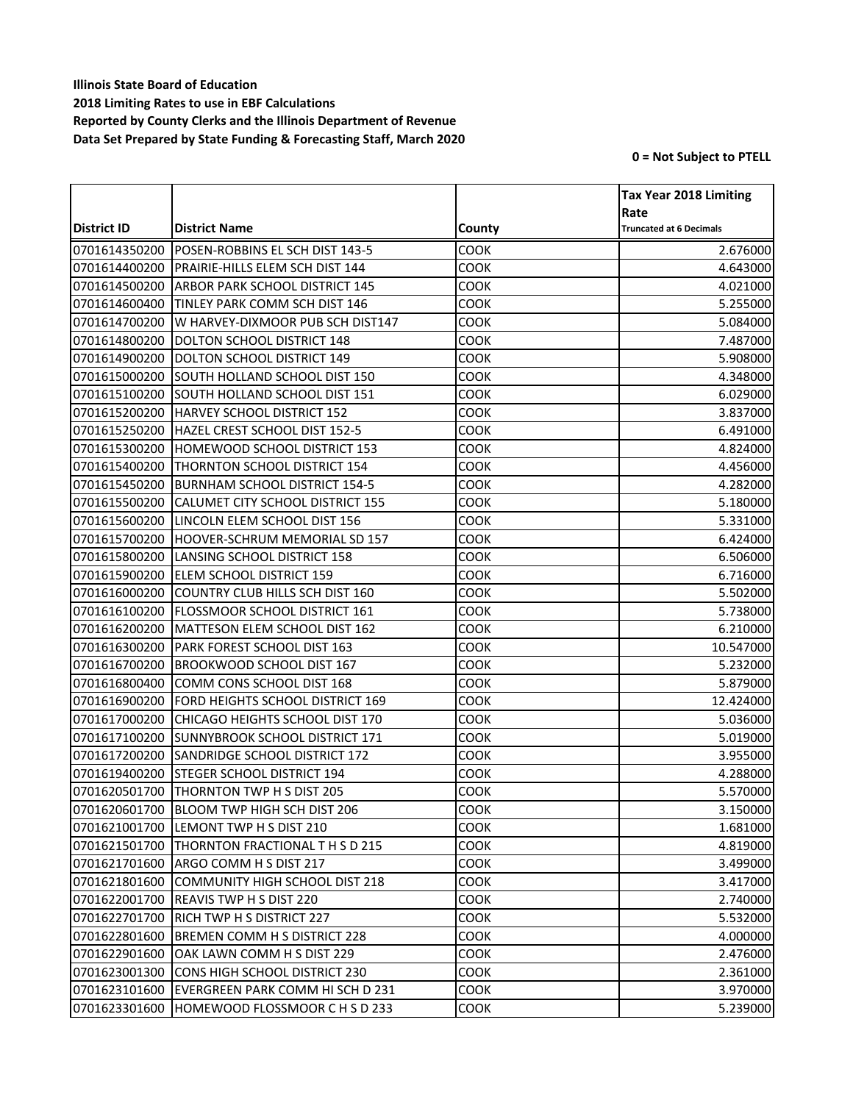|               |                                           |             | <b>Tax Year 2018 Limiting</b>          |
|---------------|-------------------------------------------|-------------|----------------------------------------|
| District ID   | <b>District Name</b>                      | County      | Rate<br><b>Truncated at 6 Decimals</b> |
| 0701614350200 | POSEN-ROBBINS EL SCH DIST 143-5           | COOK        | 2.676000                               |
| 0701614400200 | PRAIRIE-HILLS ELEM SCH DIST 144           | COOK        | 4.643000                               |
| 0701614500200 | <b>ARBOR PARK SCHOOL DISTRICT 145</b>     | COOK        | 4.021000                               |
| 0701614600400 | <b>TINLEY PARK COMM SCH DIST 146</b>      | COOK        | 5.255000                               |
| 0701614700200 | W HARVEY-DIXMOOR PUB SCH DIST147          | COOK        | 5.084000                               |
| 0701614800200 | <b>DOLTON SCHOOL DISTRICT 148</b>         | COOK        | 7.487000                               |
| 0701614900200 | DOLTON SCHOOL DISTRICT 149                | COOK        | 5.908000                               |
| 0701615000200 | SOUTH HOLLAND SCHOOL DIST 150             | COOK        | 4.348000                               |
| 0701615100200 | <b>SOUTH HOLLAND SCHOOL DIST 151</b>      | COOK        | 6.029000                               |
| 0701615200200 | HARVEY SCHOOL DISTRICT 152                | COOK        | 3.837000                               |
| 0701615250200 | HAZEL CREST SCHOOL DIST 152-5             | COOK        | 6.491000                               |
| 0701615300200 | <b>HOMEWOOD SCHOOL DISTRICT 153</b>       | COOK        | 4.824000                               |
| 0701615400200 | THORNTON SCHOOL DISTRICT 154              | COOK        | 4.456000                               |
| 0701615450200 | <b>BURNHAM SCHOOL DISTRICT 154-5</b>      | COOK        | 4.282000                               |
| 0701615500200 | CALUMET CITY SCHOOL DISTRICT 155          | COOK        | 5.180000                               |
| 0701615600200 | LINCOLN ELEM SCHOOL DIST 156              | COOK        | 5.331000                               |
| 0701615700200 | <b>HOOVER-SCHRUM MEMORIAL SD 157</b>      | COOK        | 6.424000                               |
| 0701615800200 | LANSING SCHOOL DISTRICT 158               | COOK        | 6.506000                               |
| 0701615900200 | <b>ELEM SCHOOL DISTRICT 159</b>           | COOK        | 6.716000                               |
| 0701616000200 | COUNTRY CLUB HILLS SCH DIST 160           | COOK        | 5.502000                               |
| 0701616100200 | <b>FLOSSMOOR SCHOOL DISTRICT 161</b>      | COOK        | 5.738000                               |
| 0701616200200 | MATTESON ELEM SCHOOL DIST 162             | COOK        | 6.210000                               |
| 0701616300200 | <b>PARK FOREST SCHOOL DIST 163</b>        | COOK        | 10.547000                              |
| 0701616700200 | BROOKWOOD SCHOOL DIST 167                 | COOK        | 5.232000                               |
| 0701616800400 | COMM CONS SCHOOL DIST 168                 | COOK        | 5.879000                               |
| 0701616900200 | <b>FORD HEIGHTS SCHOOL DISTRICT 169</b>   | COOK        | 12.424000                              |
| 0701617000200 | CHICAGO HEIGHTS SCHOOL DIST 170           | COOK        | 5.036000                               |
| 0701617100200 | <b>SUNNYBROOK SCHOOL DISTRICT 171</b>     | COOK        | 5.019000                               |
| 0701617200200 | <b>SANDRIDGE SCHOOL DISTRICT 172</b>      | COOK        | 3.955000                               |
| 0701619400200 | <b>STEGER SCHOOL DISTRICT 194</b>         | COOK        | 4.288000                               |
| 0701620501700 | <b>THORNTON TWP H S DIST 205</b>          | COOK        | 5.570000                               |
|               | 0701620601700 BLOOM TWP HIGH SCH DIST 206 | COOK        | 3.150000                               |
| 0701621001700 | LEMONT TWP H S DIST 210                   | соок        | 1.681000                               |
| 0701621501700 | <b>THORNTON FRACTIONAL T H S D 215</b>    | COOK        | 4.819000                               |
| 0701621701600 | ARGO COMM H S DIST 217                    | COOK        | 3.499000                               |
| 0701621801600 | COMMUNITY HIGH SCHOOL DIST 218            | COOK        | 3.417000                               |
| 0701622001700 | <b>REAVIS TWP H S DIST 220</b>            | COOK        | 2.740000                               |
| 0701622701700 | <b>RICH TWP H S DISTRICT 227</b>          | COOK        | 5.532000                               |
| 0701622801600 | <b>BREMEN COMM H S DISTRICT 228</b>       | COOK        | 4.000000                               |
| 0701622901600 | OAK LAWN COMM H S DIST 229                | COOK        | 2.476000                               |
| 0701623001300 | <b>CONS HIGH SCHOOL DISTRICT 230</b>      | <b>COOK</b> | 2.361000                               |
| 0701623101600 | EVERGREEN PARK COMM HI SCH D 231          | COOK        | 3.970000                               |
| 0701623301600 | HOMEWOOD FLOSSMOOR C H S D 233            | <b>COOK</b> | 5.239000                               |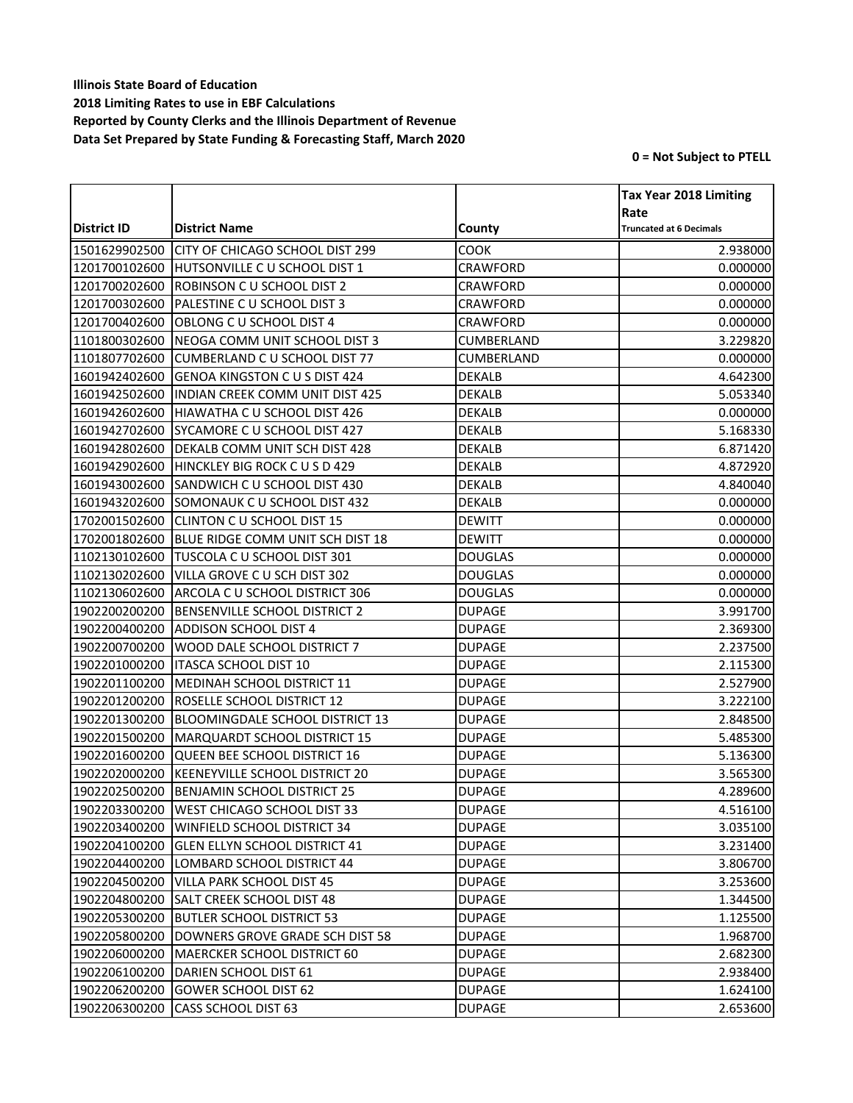|               |                                             |                 | <b>Tax Year 2018 Limiting</b>          |
|---------------|---------------------------------------------|-----------------|----------------------------------------|
| District ID   | <b>District Name</b>                        | County          | Rate<br><b>Truncated at 6 Decimals</b> |
| 1501629902500 | CITY OF CHICAGO SCHOOL DIST 299             | COOK            | 2.938000                               |
| 1201700102600 | HUTSONVILLE C U SCHOOL DIST 1               | CRAWFORD        | 0.000000                               |
| 1201700202600 | ROBINSON C U SCHOOL DIST 2                  | <b>CRAWFORD</b> | 0.000000                               |
| 1201700302600 | PALESTINE C U SCHOOL DIST 3                 | CRAWFORD        | 0.000000                               |
| 1201700402600 | OBLONG C U SCHOOL DIST 4                    | CRAWFORD        | 0.000000                               |
| 1101800302600 | NEOGA COMM UNIT SCHOOL DIST 3               | CUMBERLAND      | 3.229820                               |
| 1101807702600 | <b>CUMBERLAND C U SCHOOL DIST 77</b>        | CUMBERLAND      | 0.000000                               |
| 1601942402600 | <b>GENOA KINGSTON C U S DIST 424</b>        | DEKALB          | 4.642300                               |
| 1601942502600 | <b>INDIAN CREEK COMM UNIT DIST 425</b>      | <b>DEKALB</b>   | 5.053340                               |
| 1601942602600 | HIAWATHA C U SCHOOL DIST 426                | <b>DEKALB</b>   | 0.000000                               |
| 1601942702600 | SYCAMORE C U SCHOOL DIST 427                | <b>DEKALB</b>   | 5.168330                               |
| 1601942802600 | DEKALB COMM UNIT SCH DIST 428               | <b>DEKALB</b>   | 6.871420                               |
| 1601942902600 | HINCKLEY BIG ROCK C U S D 429               | <b>DEKALB</b>   | 4.872920                               |
| 1601943002600 | SANDWICH C U SCHOOL DIST 430                | <b>DEKALB</b>   | 4.840040                               |
| 1601943202600 | SOMONAUK C U SCHOOL DIST 432                | DEKALB          | 0.000000                               |
| 1702001502600 | CLINTON C U SCHOOL DIST 15                  | <b>DEWITT</b>   | 0.000000                               |
| 1702001802600 | BLUE RIDGE COMM UNIT SCH DIST 18            | <b>DEWITT</b>   | 0.000000                               |
| 1102130102600 | <b>TUSCOLA C U SCHOOL DIST 301</b>          | <b>DOUGLAS</b>  | 0.000000                               |
| 1102130202600 | VILLA GROVE C U SCH DIST 302                | <b>DOUGLAS</b>  | 0.000000                               |
| 1102130602600 | ARCOLA C U SCHOOL DISTRICT 306              | <b>DOUGLAS</b>  | 0.000000                               |
| 1902200200200 | <b>BENSENVILLE SCHOOL DISTRICT 2</b>        | <b>DUPAGE</b>   | 3.991700                               |
| 1902200400200 | <b>ADDISON SCHOOL DIST 4</b>                | <b>DUPAGE</b>   | 2.369300                               |
| 1902200700200 | WOOD DALE SCHOOL DISTRICT 7                 | <b>DUPAGE</b>   | 2.237500                               |
| 1902201000200 | ITASCA SCHOOL DIST 10                       | <b>DUPAGE</b>   | 2.115300                               |
| 1902201100200 | <b>MEDINAH SCHOOL DISTRICT 11</b>           | <b>DUPAGE</b>   | 2.527900                               |
| 1902201200200 | <b>ROSELLE SCHOOL DISTRICT 12</b>           | <b>DUPAGE</b>   | 3.222100                               |
| 1902201300200 | BLOOMINGDALE SCHOOL DISTRICT 13             | <b>DUPAGE</b>   | 2.848500                               |
| 1902201500200 | <b>MARQUARDT SCHOOL DISTRICT 15</b>         | <b>DUPAGE</b>   | 5.485300                               |
| 1902201600200 | QUEEN BEE SCHOOL DISTRICT 16                | <b>DUPAGE</b>   | 5.136300                               |
| 1902202000200 | KEENEYVILLE SCHOOL DISTRICT 20              | <b>DUPAGE</b>   | 3.565300                               |
| 1902202500200 | <b>IBENJAMIN SCHOOL DISTRICT 25</b>         | <b>DUPAGE</b>   | 4.289600                               |
|               | 1902203300200   WEST CHICAGO SCHOOL DIST 33 | <b>DUPAGE</b>   | 4.516100                               |
| 1902203400200 | WINFIELD SCHOOL DISTRICT 34                 | <b>DUPAGE</b>   | 3.035100                               |
| 1902204100200 | <b>GLEN ELLYN SCHOOL DISTRICT 41</b>        | <b>DUPAGE</b>   | 3.231400                               |
| 1902204400200 | LOMBARD SCHOOL DISTRICT 44                  | <b>DUPAGE</b>   | 3.806700                               |
| 1902204500200 | VILLA PARK SCHOOL DIST 45                   | <b>DUPAGE</b>   | 3.253600                               |
| 1902204800200 | <b>SALT CREEK SCHOOL DIST 48</b>            | <b>DUPAGE</b>   | 1.344500                               |
|               | 1902205300200 BUTLER SCHOOL DISTRICT 53     | <b>DUPAGE</b>   | 1.125500                               |
| 1902205800200 | DOWNERS GROVE GRADE SCH DIST 58             | <b>DUPAGE</b>   | 1.968700                               |
| 1902206000200 | MAERCKER SCHOOL DISTRICT 60                 | <b>DUPAGE</b>   | 2.682300                               |
| 1902206100200 | DARIEN SCHOOL DIST 61                       | <b>DUPAGE</b>   | 2.938400                               |
| 1902206200200 | <b>GOWER SCHOOL DIST 62</b>                 | <b>DUPAGE</b>   | 1.624100                               |
| 1902206300200 | CASS SCHOOL DIST 63                         | <b>DUPAGE</b>   | 2.653600                               |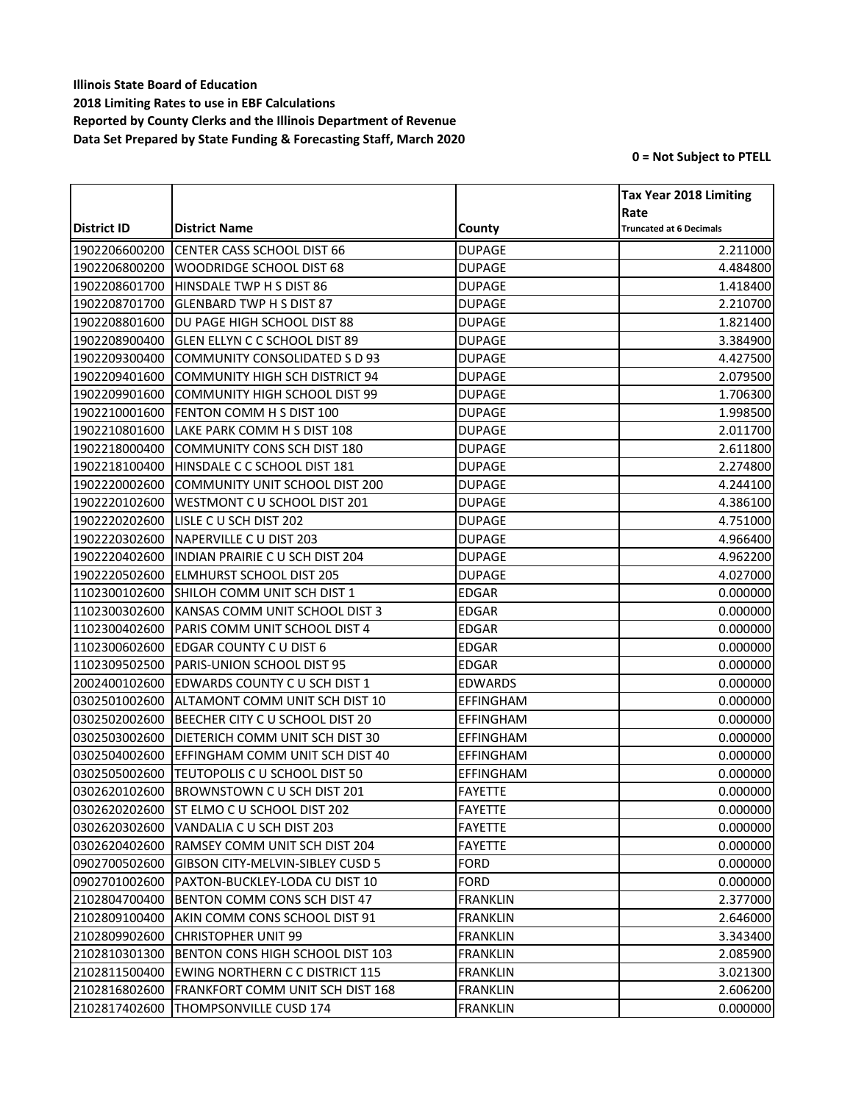|               |                                           |                  | <b>Tax Year 2018 Limiting</b>          |
|---------------|-------------------------------------------|------------------|----------------------------------------|
| District ID   | <b>District Name</b>                      | County           | Rate<br><b>Truncated at 6 Decimals</b> |
| 1902206600200 | <b>CENTER CASS SCHOOL DIST 66</b>         | <b>DUPAGE</b>    | 2.211000                               |
| 1902206800200 | <b>WOODRIDGE SCHOOL DIST 68</b>           | <b>DUPAGE</b>    | 4.484800                               |
| 1902208601700 | HINSDALE TWP H S DIST 86                  | <b>DUPAGE</b>    | 1.418400                               |
| 1902208701700 | <b>GLENBARD TWP H S DIST 87</b>           | <b>DUPAGE</b>    | 2.210700                               |
| 1902208801600 | DU PAGE HIGH SCHOOL DIST 88               | <b>DUPAGE</b>    | 1.821400                               |
| 1902208900400 | GLEN ELLYN C C SCHOOL DIST 89             | <b>DUPAGE</b>    | 3.384900                               |
| 1902209300400 | COMMUNITY CONSOLIDATED S D 93             | <b>DUPAGE</b>    | 4.427500                               |
| 1902209401600 | <b>COMMUNITY HIGH SCH DISTRICT 94</b>     | <b>DUPAGE</b>    | 2.079500                               |
| 1902209901600 | <b>COMMUNITY HIGH SCHOOL DIST 99</b>      | <b>DUPAGE</b>    | 1.706300                               |
| 1902210001600 | <b>FENTON COMM H S DIST 100</b>           | <b>DUPAGE</b>    | 1.998500                               |
| 1902210801600 | LAKE PARK COMM H S DIST 108               | <b>DUPAGE</b>    | 2.011700                               |
| 1902218000400 | <b>COMMUNITY CONS SCH DIST 180</b>        | <b>DUPAGE</b>    | 2.611800                               |
| 1902218100400 | HINSDALE C C SCHOOL DIST 181              | <b>DUPAGE</b>    | 2.274800                               |
| 1902220002600 | COMMUNITY UNIT SCHOOL DIST 200            | <b>DUPAGE</b>    | 4.244100                               |
| 1902220102600 | WESTMONT CU SCHOOL DIST 201               | <b>DUPAGE</b>    | 4.386100                               |
| 1902220202600 | LISLE C U SCH DIST 202                    | <b>DUPAGE</b>    | 4.751000                               |
| 1902220302600 | NAPERVILLE C U DIST 203                   | <b>DUPAGE</b>    | 4.966400                               |
| 1902220402600 | <b>INDIAN PRAIRIE C U SCH DIST 204</b>    | <b>DUPAGE</b>    | 4.962200                               |
| 1902220502600 | <b>ELMHURST SCHOOL DIST 205</b>           | <b>DUPAGE</b>    | 4.027000                               |
| 1102300102600 | SHILOH COMM UNIT SCH DIST 1               | <b>EDGAR</b>     | 0.000000                               |
| 1102300302600 | KANSAS COMM UNIT SCHOOL DIST 3            | <b>EDGAR</b>     | 0.000000                               |
| 1102300402600 | PARIS COMM UNIT SCHOOL DIST 4             | <b>EDGAR</b>     | 0.000000                               |
| 1102300602600 | <b>EDGAR COUNTY C U DIST 6</b>            | <b>EDGAR</b>     | 0.000000                               |
| 1102309502500 | PARIS-UNION SCHOOL DIST 95                | <b>EDGAR</b>     | 0.000000                               |
| 2002400102600 | <b>EDWARDS COUNTY C U SCH DIST 1</b>      | <b>EDWARDS</b>   | 0.000000                               |
| 0302501002600 | ALTAMONT COMM UNIT SCH DIST 10            | EFFINGHAM        | 0.000000                               |
| 0302502002600 | BEECHER CITY C U SCHOOL DIST 20           | EFFINGHAM        | 0.000000                               |
| 0302503002600 | DIETERICH COMM UNIT SCH DIST 30           | <b>EFFINGHAM</b> | 0.000000                               |
| 0302504002600 | EFFINGHAM COMM UNIT SCH DIST 40           | <b>EFFINGHAM</b> | 0.000000                               |
| 0302505002600 | TEUTOPOLIS C U SCHOOL DIST 50             | <b>EFFINGHAM</b> | 0.000000                               |
| 0302620102600 | BROWNSTOWN C U SCH DIST 201               | <b>FAYETTE</b>   | 0.000000                               |
|               | 0302620202600 ST ELMO C U SCHOOL DIST 202 | FAYETTE          | 0.000000                               |
| 0302620302600 | VANDALIA C U SCH DIST 203                 | <b>FAYETTE</b>   | 0.000000                               |
| 0302620402600 | RAMSEY COMM UNIT SCH DIST 204             | <b>FAYETTE</b>   | 0.000000                               |
| 0902700502600 | <b>GIBSON CITY-MELVIN-SIBLEY CUSD 5</b>   | <b>FORD</b>      | 0.000000                               |
| 0902701002600 | PAXTON-BUCKLEY-LODA CU DIST 10            | <b>FORD</b>      | 0.000000                               |
| 2102804700400 | BENTON COMM CONS SCH DIST 47              | <b>FRANKLIN</b>  | 2.377000                               |
| 2102809100400 | AKIN COMM CONS SCHOOL DIST 91             | FRANKLIN         | 2.646000                               |
| 2102809902600 | <b>CHRISTOPHER UNIT 99</b>                | <b>FRANKLIN</b>  | 3.343400                               |
| 2102810301300 | BENTON CONS HIGH SCHOOL DIST 103          | <b>FRANKLIN</b>  | 2.085900                               |
| 2102811500400 | EWING NORTHERN C C DISTRICT 115           | <b>FRANKLIN</b>  | 3.021300                               |
| 2102816802600 | <b>FRANKFORT COMM UNIT SCH DIST 168</b>   | <b>FRANKLIN</b>  | 2.606200                               |
| 2102817402600 | THOMPSONVILLE CUSD 174                    | <b>FRANKLIN</b>  | 0.000000                               |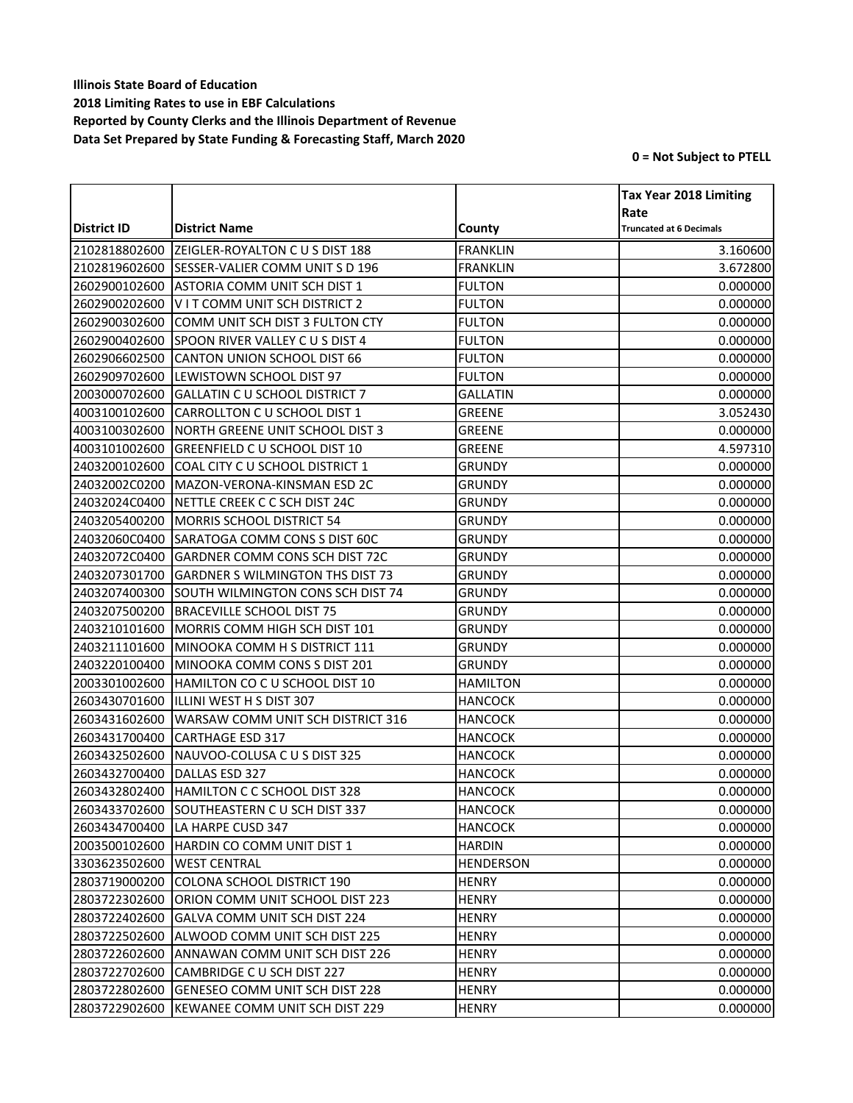|               |                                             |                  | <b>Tax Year 2018 Limiting</b>  |
|---------------|---------------------------------------------|------------------|--------------------------------|
|               |                                             |                  | Rate                           |
| District ID   | <b>District Name</b>                        | County           | <b>Truncated at 6 Decimals</b> |
| 2102818802600 | ZEIGLER-ROYALTON C U S DIST 188             | <b>FRANKLIN</b>  | 3.160600                       |
| 2102819602600 | <b>ISESSER-VALIER COMM UNIT S D 196</b>     | <b>FRANKLIN</b>  | 3.672800                       |
| 2602900102600 | <b>ASTORIA COMM UNIT SCH DIST 1</b>         | <b>FULTON</b>    | 0.000000                       |
| 2602900202600 | VIT COMM UNIT SCH DISTRICT 2                | <b>FULTON</b>    | 0.000000                       |
| 2602900302600 | COMM UNIT SCH DIST 3 FULTON CTY             | <b>FULTON</b>    | 0.000000                       |
| 2602900402600 | SPOON RIVER VALLEY C U S DIST 4             | <b>FULTON</b>    | 0.000000                       |
| 2602906602500 | CANTON UNION SCHOOL DIST 66                 | <b>FULTON</b>    | 0.000000                       |
| 2602909702600 | LEWISTOWN SCHOOL DIST 97                    | <b>FULTON</b>    | 0.000000                       |
| 2003000702600 | <b>GALLATIN C U SCHOOL DISTRICT 7</b>       | <b>GALLATIN</b>  | 0.000000                       |
| 4003100102600 | CARROLLTON C U SCHOOL DIST 1                | GREENE           | 3.052430                       |
| 4003100302600 | NORTH GREENE UNIT SCHOOL DIST 3             | <b>GREENE</b>    | 0.000000                       |
| 4003101002600 | <b>GREENFIELD C U SCHOOL DIST 10</b>        | <b>GREENE</b>    | 4.597310                       |
| 2403200102600 | COAL CITY C U SCHOOL DISTRICT 1             | <b>GRUNDY</b>    | 0.000000                       |
| 24032002C0200 | MAZON-VERONA-KINSMAN ESD 2C                 | GRUNDY           | 0.000000                       |
| 24032024C0400 | NETTLE CREEK C C SCH DIST 24C               | <b>GRUNDY</b>    | 0.000000                       |
| 2403205400200 | MORRIS SCHOOL DISTRICT 54                   | <b>GRUNDY</b>    | 0.000000                       |
| 24032060C0400 | SARATOGA COMM CONS S DIST 60C               | <b>GRUNDY</b>    | 0.000000                       |
| 24032072C0400 | <b>GARDNER COMM CONS SCH DIST 72C</b>       | GRUNDY           | 0.000000                       |
| 2403207301700 | <b>GARDNER S WILMINGTON THS DIST 73</b>     | <b>GRUNDY</b>    | 0.000000                       |
| 2403207400300 | SOUTH WILMINGTON CONS SCH DIST 74           | <b>GRUNDY</b>    | 0.000000                       |
| 2403207500200 | <b>BRACEVILLE SCHOOL DIST 75</b>            | GRUNDY           | 0.000000                       |
| 2403210101600 | MORRIS COMM HIGH SCH DIST 101               | <b>GRUNDY</b>    | 0.000000                       |
| 2403211101600 | MINOOKA COMM H S DISTRICT 111               | <b>GRUNDY</b>    | 0.000000                       |
| 2403220100400 | MINOOKA COMM CONS S DIST 201                | <b>GRUNDY</b>    | 0.000000                       |
| 2003301002600 | HAMILTON CO C U SCHOOL DIST 10              | <b>HAMILTON</b>  | 0.000000                       |
| 2603430701600 | ILLINI WEST H S DIST 307                    | <b>HANCOCK</b>   | 0.000000                       |
| 2603431602600 | WARSAW COMM UNIT SCH DISTRICT 316           | HANCOCK          | 0.000000                       |
| 2603431700400 | <b>CARTHAGE ESD 317</b>                     | <b>HANCOCK</b>   | 0.000000                       |
| 2603432502600 | NAUVOO-COLUSA C U S DIST 325                | <b>HANCOCK</b>   | 0.000000                       |
| 2603432700400 | DALLAS ESD 327                              | <b>HANCOCK</b>   | 0.000000                       |
| 2603432802400 | HAMILTON C C SCHOOL DIST 328                | <b>HANCOCK</b>   | 0.000000                       |
|               | 2603433702600 SOUTHEASTERN C U SCH DIST 337 | <b>HANCOCK</b>   | 0.000000                       |
| 2603434700400 | LA HARPE CUSD 347                           | HANCOCK          | 0.000000                       |
| 2003500102600 | HARDIN CO COMM UNIT DIST 1                  | <b>HARDIN</b>    | 0.000000                       |
| 3303623502600 | <b>WEST CENTRAL</b>                         | <b>HENDERSON</b> | 0.000000                       |
| 2803719000200 | COLONA SCHOOL DISTRICT 190                  | <b>HENRY</b>     | 0.000000                       |
| 2803722302600 | ORION COMM UNIT SCHOOL DIST 223             | <b>HENRY</b>     | 0.000000                       |
| 2803722402600 | <b>GALVA COMM UNIT SCH DIST 224</b>         | <b>HENRY</b>     | 0.000000                       |
| 2803722502600 | ALWOOD COMM UNIT SCH DIST 225               | <b>HENRY</b>     | 0.000000                       |
| 2803722602600 | ANNAWAN COMM UNIT SCH DIST 226              | <b>HENRY</b>     | 0.000000                       |
| 2803722702600 | CAMBRIDGE C U SCH DIST 227                  | <b>HENRY</b>     | 0.000000                       |
| 2803722802600 | <b>GENESEO COMM UNIT SCH DIST 228</b>       | <b>HENRY</b>     | 0.000000                       |
| 2803722902600 | KEWANEE COMM UNIT SCH DIST 229              | <b>HENRY</b>     | 0.000000                       |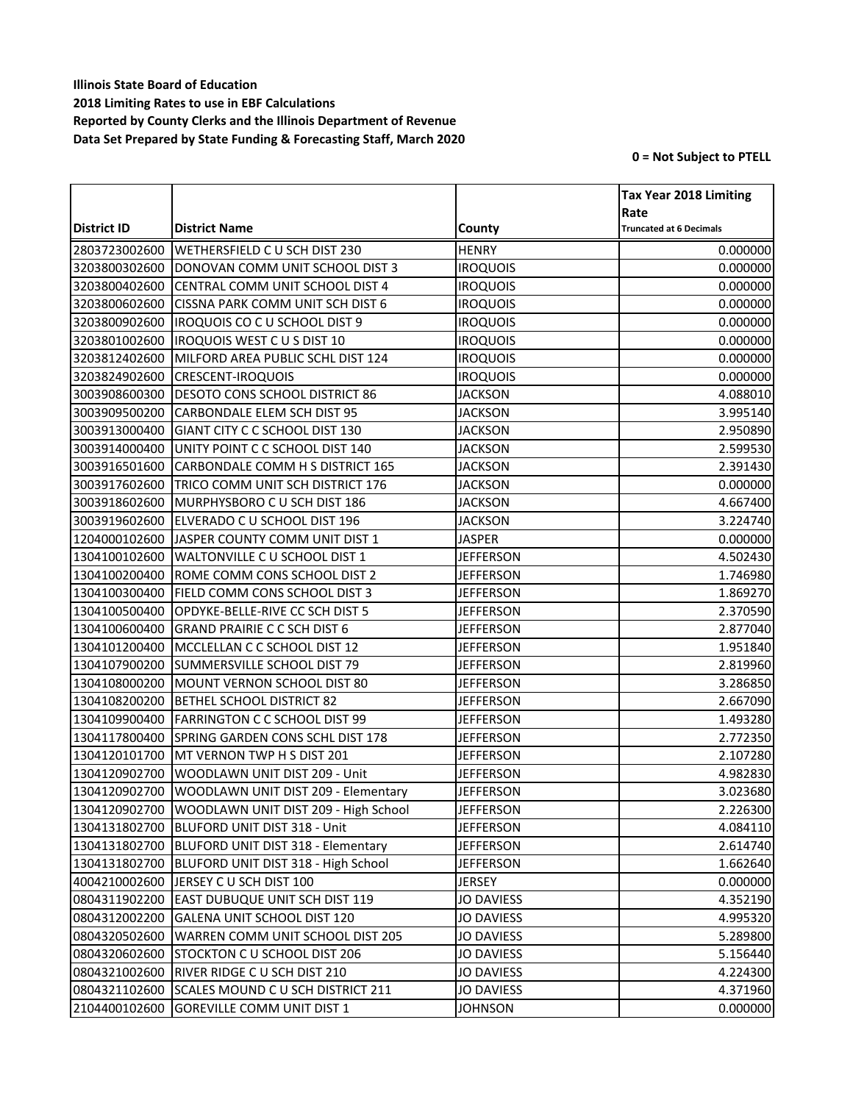|                                |                                                    |                   | <b>Tax Year 2018 Limiting</b>          |
|--------------------------------|----------------------------------------------------|-------------------|----------------------------------------|
| District ID                    | <b>District Name</b>                               | County            | Rate<br><b>Truncated at 6 Decimals</b> |
|                                |                                                    |                   |                                        |
| 2803723002600<br>3203800302600 | WETHERSFIELD C U SCH DIST 230                      | <b>HENRY</b>      | 0.000000                               |
|                                | DONOVAN COMM UNIT SCHOOL DIST 3                    | <b>IROQUOIS</b>   | 0.000000                               |
| 3203800402600                  | CENTRAL COMM UNIT SCHOOL DIST 4                    | <b>IROQUOIS</b>   | 0.000000                               |
| 3203800602600                  | CISSNA PARK COMM UNIT SCH DIST 6                   | <b>IROQUOIS</b>   | 0.000000                               |
| 3203800902600                  | IROQUOIS CO C U SCHOOL DIST 9                      | <b>IROQUOIS</b>   | 0.000000                               |
| 3203801002600                  | <b>IROQUOIS WEST C U S DIST 10</b>                 | <b>IROQUOIS</b>   | 0.000000                               |
| 3203812402600                  | MILFORD AREA PUBLIC SCHL DIST 124                  | <b>IROQUOIS</b>   | 0.000000                               |
| 3203824902600                  | <b>CRESCENT-IROQUOIS</b>                           | <b>IROQUOIS</b>   | 0.000000                               |
| 3003908600300                  | <b>DESOTO CONS SCHOOL DISTRICT 86</b>              | <b>JACKSON</b>    | 4.088010                               |
| 3003909500200                  | <b>CARBONDALE ELEM SCH DIST 95</b>                 | <b>JACKSON</b>    | 3.995140                               |
| 3003913000400                  | GIANT CITY C C SCHOOL DIST 130                     | <b>JACKSON</b>    | 2.950890                               |
| 3003914000400                  | UNITY POINT C C SCHOOL DIST 140                    | <b>JACKSON</b>    | 2.599530                               |
| 3003916501600                  | CARBONDALE COMM H S DISTRICT 165                   | <b>JACKSON</b>    | 2.391430                               |
| 3003917602600                  | TRICO COMM UNIT SCH DISTRICT 176                   | <b>JACKSON</b>    | 0.000000                               |
| 3003918602600                  | MURPHYSBORO C U SCH DIST 186                       | <b>JACKSON</b>    | 4.667400                               |
| 3003919602600                  | ELVERADO C U SCHOOL DIST 196                       | <b>JACKSON</b>    | 3.224740                               |
| 1204000102600                  | JASPER COUNTY COMM UNIT DIST 1                     | <b>JASPER</b>     | 0.000000                               |
| 1304100102600                  | <b>WALTONVILLE C U SCHOOL DIST 1</b>               | <b>JEFFERSON</b>  | 4.502430                               |
| 1304100200400                  | ROME COMM CONS SCHOOL DIST 2                       | <b>JEFFERSON</b>  | 1.746980                               |
| 1304100300400                  | FIELD COMM CONS SCHOOL DIST 3                      | <b>JEFFERSON</b>  | 1.869270                               |
| 1304100500400                  | OPDYKE-BELLE-RIVE CC SCH DIST 5                    | <b>JEFFERSON</b>  | 2.370590                               |
| 1304100600400                  | <b>GRAND PRAIRIE C C SCH DIST 6</b>                | <b>JEFFERSON</b>  | 2.877040                               |
| 1304101200400                  | MCCLELLAN C C SCHOOL DIST 12                       | <b>JEFFERSON</b>  | 1.951840                               |
| 1304107900200                  | <b>SUMMERSVILLE SCHOOL DIST 79</b>                 | <b>JEFFERSON</b>  | 2.819960                               |
| 1304108000200                  | MOUNT VERNON SCHOOL DIST 80                        | <b>JEFFERSON</b>  | 3.286850                               |
| 1304108200200                  | <b>BETHEL SCHOOL DISTRICT 82</b>                   | <b>JEFFERSON</b>  | 2.667090                               |
| 1304109900400                  | <b>FARRINGTON C C SCHOOL DIST 99</b>               | <b>JEFFERSON</b>  | 1.493280                               |
| 1304117800400                  | SPRING GARDEN CONS SCHL DIST 178                   | <b>JEFFERSON</b>  | 2.772350                               |
| 1304120101700                  | MT VERNON TWP H S DIST 201                         | <b>JEFFERSON</b>  | 2.107280                               |
| 1304120902700                  | WOODLAWN UNIT DIST 209 - Unit                      | <b>JEFFERSON</b>  | 4.982830                               |
| 1304120902700                  | WOODLAWN UNIT DIST 209 - Elementary                | <b>JEFFERSON</b>  | 3.023680                               |
|                                | 1304120902700 WOODLAWN UNIT DIST 209 - High School | <b>JEFFERSON</b>  | 2.226300                               |
| 1304131802700                  | BLUFORD UNIT DIST 318 - Unit                       | JEFFERSON         | 4.084110                               |
| 1304131802700                  | BLUFORD UNIT DIST 318 - Elementary                 | <b>JEFFERSON</b>  | 2.614740                               |
| 1304131802700                  | BLUFORD UNIT DIST 318 - High School                | <b>JEFFERSON</b>  | 1.662640                               |
| 4004210002600                  | JERSEY C U SCH DIST 100                            | JERSEY            | 0.000000                               |
| 0804311902200                  | EAST DUBUQUE UNIT SCH DIST 119                     | <b>JO DAVIESS</b> | 4.352190                               |
| 0804312002200                  | GALENA UNIT SCHOOL DIST 120                        | <b>JO DAVIESS</b> | 4.995320                               |
| 0804320502600                  | WARREN COMM UNIT SCHOOL DIST 205                   | <b>JO DAVIESS</b> | 5.289800                               |
| 0804320602600                  | STOCKTON C U SCHOOL DIST 206                       | <b>JO DAVIESS</b> | 5.156440                               |
| 0804321002600                  | RIVER RIDGE C U SCH DIST 210                       | <b>JO DAVIESS</b> | 4.224300                               |
| 0804321102600                  | SCALES MOUND C U SCH DISTRICT 211                  | <b>JO DAVIESS</b> | 4.371960                               |
| 2104400102600                  | <b>GOREVILLE COMM UNIT DIST 1</b>                  | <b>JOHNSON</b>    | 0.000000                               |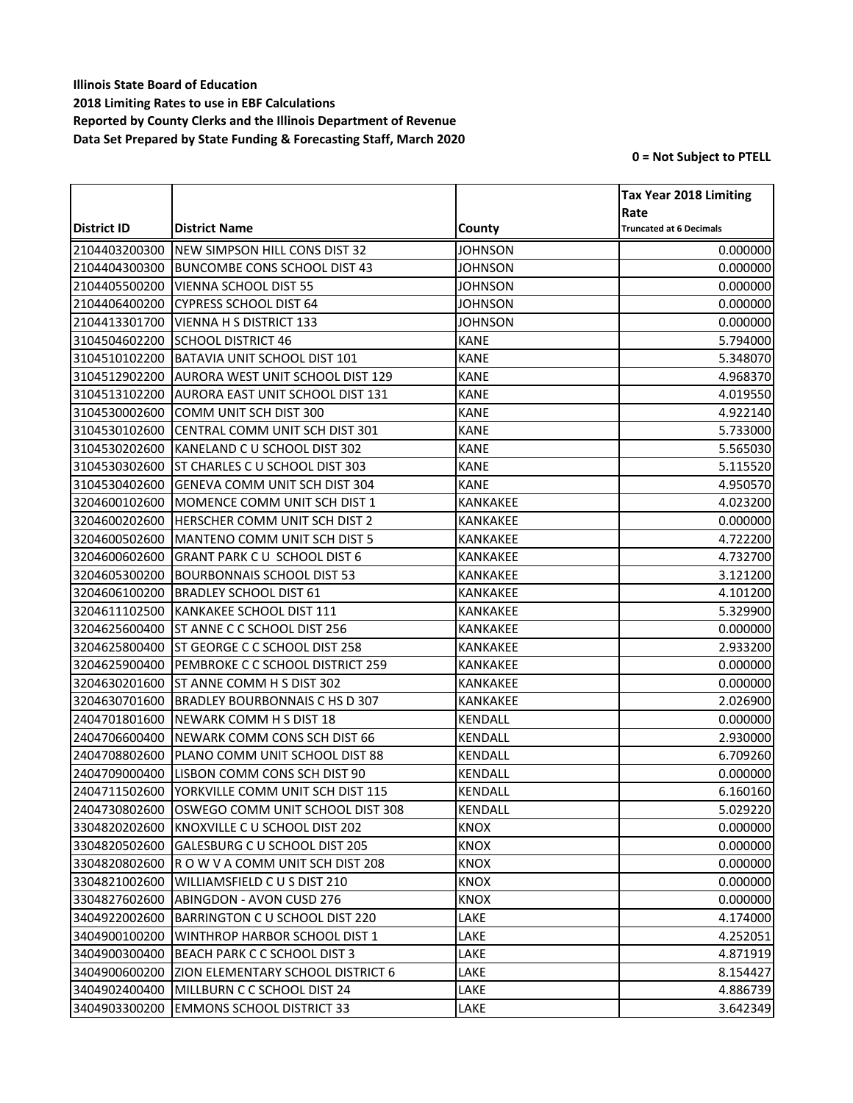|               |                                                |                 | <b>Tax Year 2018 Limiting</b>  |
|---------------|------------------------------------------------|-----------------|--------------------------------|
|               |                                                |                 | Rate                           |
| District ID   | <b>District Name</b>                           | County          | <b>Truncated at 6 Decimals</b> |
| 2104403200300 | NEW SIMPSON HILL CONS DIST 32                  | JOHNSON         | 0.000000                       |
| 2104404300300 | <b>BUNCOMBE CONS SCHOOL DIST 43</b>            | <b>JOHNSON</b>  | 0.000000                       |
| 2104405500200 | <b>VIENNA SCHOOL DIST 55</b>                   | <b>JOHNSON</b>  | 0.000000                       |
| 2104406400200 | <b>CYPRESS SCHOOL DIST 64</b>                  | <b>JOHNSON</b>  | 0.000000                       |
| 2104413301700 | <b>VIENNA H S DISTRICT 133</b>                 | <b>JOHNSON</b>  | 0.000000                       |
| 3104504602200 | <b>SCHOOL DISTRICT 46</b>                      | <b>KANE</b>     | 5.794000                       |
| 3104510102200 | BATAVIA UNIT SCHOOL DIST 101                   | <b>KANE</b>     | 5.348070                       |
| 3104512902200 | <b>AURORA WEST UNIT SCHOOL DIST 129</b>        | <b>KANE</b>     | 4.968370                       |
| 3104513102200 | <b>AURORA EAST UNIT SCHOOL DIST 131</b>        | <b>KANE</b>     | 4.019550                       |
| 3104530002600 | COMM UNIT SCH DIST 300                         | <b>KANE</b>     | 4.922140                       |
| 3104530102600 | CENTRAL COMM UNIT SCH DIST 301                 | <b>KANE</b>     | 5.733000                       |
| 3104530202600 | KANELAND C U SCHOOL DIST 302                   | <b>KANE</b>     | 5.565030                       |
| 3104530302600 | <b>ST CHARLES C U SCHOOL DIST 303</b>          | <b>KANE</b>     | 5.115520                       |
| 3104530402600 | <b>GENEVA COMM UNIT SCH DIST 304</b>           | <b>KANE</b>     | 4.950570                       |
| 3204600102600 | MOMENCE COMM UNIT SCH DIST 1                   | KANKAKEE        | 4.023200                       |
| 3204600202600 | HERSCHER COMM UNIT SCH DIST 2                  | <b>KANKAKEE</b> | 0.000000                       |
| 3204600502600 | MANTENO COMM UNIT SCH DIST 5                   | <b>KANKAKEE</b> | 4.722200                       |
| 3204600602600 | <b>GRANT PARK CU SCHOOL DIST 6</b>             | <b>KANKAKEE</b> | 4.732700                       |
| 3204605300200 | <b>BOURBONNAIS SCHOOL DIST 53</b>              | <b>KANKAKEE</b> | 3.121200                       |
| 3204606100200 | <b>BRADLEY SCHOOL DIST 61</b>                  | <b>KANKAKEE</b> | 4.101200                       |
| 3204611102500 | KANKAKEE SCHOOL DIST 111                       | <b>KANKAKEE</b> | 5.329900                       |
| 3204625600400 | <b>ST ANNE C C SCHOOL DIST 256</b>             | KANKAKEE        | 0.000000                       |
| 3204625800400 | ST GEORGE C C SCHOOL DIST 258                  | <b>KANKAKEE</b> | 2.933200                       |
| 3204625900400 | PEMBROKE C C SCHOOL DISTRICT 259               | KANKAKEE        | 0.000000                       |
| 3204630201600 | ST ANNE COMM H S DIST 302                      | <b>KANKAKEE</b> | 0.000000                       |
| 3204630701600 | <b>BRADLEY BOURBONNAIS C HS D 307</b>          | <b>KANKAKEE</b> | 2.026900                       |
| 2404701801600 | NEWARK COMM H S DIST 18                        | KENDALL         | 0.000000                       |
| 2404706600400 | NEWARK COMM CONS SCH DIST 66                   | KENDALL         | 2.930000                       |
| 2404708802600 | PLANO COMM UNIT SCHOOL DIST 88                 | KENDALL         | 6.709260                       |
| 2404709000400 | LISBON COMM CONS SCH DIST 90                   | KENDALL         | 0.000000                       |
| 2404711502600 | YORKVILLE COMM UNIT SCH DIST 115               | <b>KENDALL</b>  | 6.160160                       |
|               | 2404730802600 OSWEGO COMM UNIT SCHOOL DIST 308 | <b>KENDALL</b>  | 5.029220                       |
| 3304820202600 | KNOXVILLE C U SCHOOL DIST 202                  | <b>KNOX</b>     | 0.000000                       |
| 3304820502600 | GALESBURG C U SCHOOL DIST 205                  | <b>KNOX</b>     | 0.000000                       |
| 3304820802600 | ROW V A COMM UNIT SCH DIST 208                 | <b>KNOX</b>     | 0.000000                       |
| 3304821002600 | WILLIAMSFIELD C U S DIST 210                   | <b>KNOX</b>     | 0.000000                       |
| 3304827602600 | ABINGDON - AVON CUSD 276                       | <b>KNOX</b>     | 0.000000                       |
| 3404922002600 | BARRINGTON C U SCHOOL DIST 220                 | LAKE            | 4.174000                       |
| 3404900100200 | <b>WINTHROP HARBOR SCHOOL DIST 1</b>           | LAKE            | 4.252051                       |
| 3404900300400 | BEACH PARK C C SCHOOL DIST 3                   | LAKE            | 4.871919                       |
| 3404900600200 | <b>ZION ELEMENTARY SCHOOL DISTRICT 6</b>       | LAKE            | 8.154427                       |
| 3404902400400 | MILLBURN C C SCHOOL DIST 24                    | LAKE            | 4.886739                       |
| 3404903300200 | <b>EMMONS SCHOOL DISTRICT 33</b>               | LAKE            | 3.642349                       |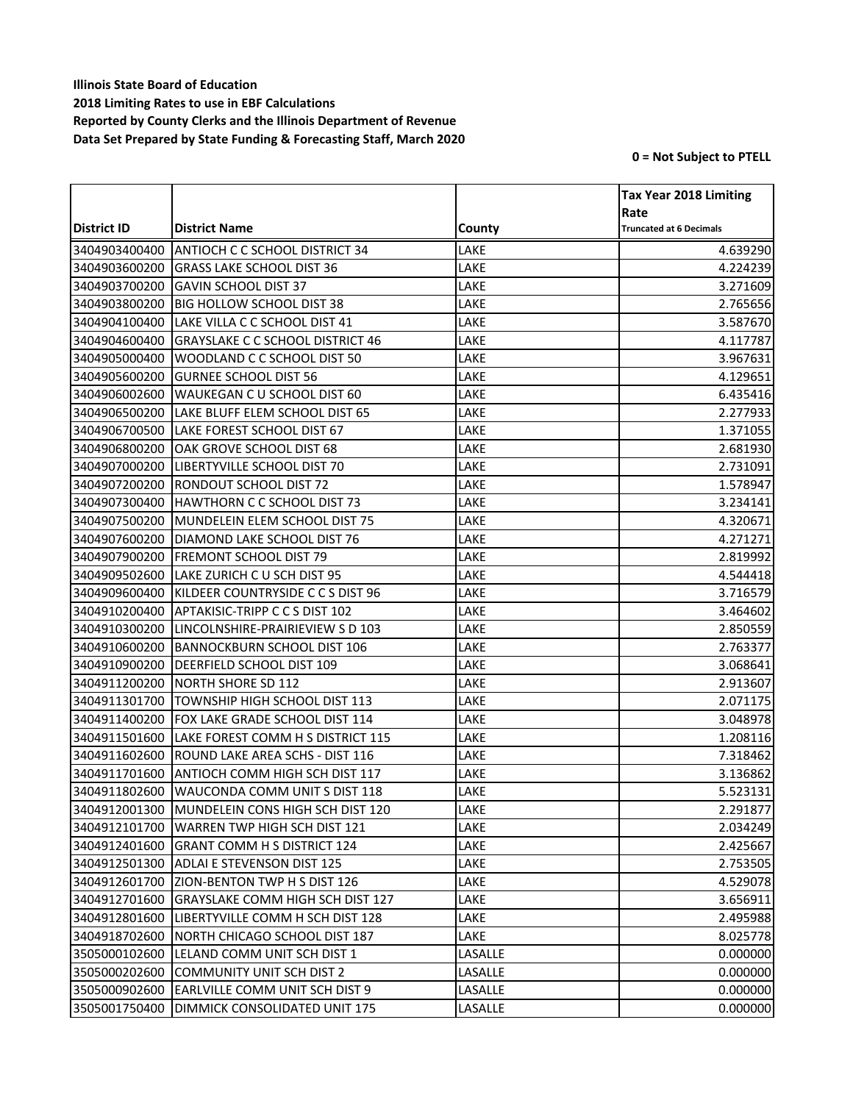|               |                                         |         | <b>Tax Year 2018 Limiting</b>  |
|---------------|-----------------------------------------|---------|--------------------------------|
|               |                                         |         | Rate                           |
| District ID   | <b>District Name</b>                    | County  | <b>Truncated at 6 Decimals</b> |
| 3404903400400 | <b>ANTIOCH C C SCHOOL DISTRICT 34</b>   | LAKE    | 4.639290                       |
| 3404903600200 | <b>GRASS LAKE SCHOOL DIST 36</b>        | LAKE    | 4.224239                       |
| 3404903700200 | <b>GAVIN SCHOOL DIST 37</b>             | LAKE    | 3.271609                       |
| 3404903800200 | <b>BIG HOLLOW SCHOOL DIST 38</b>        | LAKE    | 2.765656                       |
| 3404904100400 | LAKE VILLA C C SCHOOL DIST 41           | LAKE    | 3.587670                       |
| 3404904600400 | <b>GRAYSLAKE C C SCHOOL DISTRICT 46</b> | LAKE    | 4.117787                       |
| 3404905000400 | WOODLAND C C SCHOOL DIST 50             | LAKE    | 3.967631                       |
| 3404905600200 | <b>GURNEE SCHOOL DIST 56</b>            | LAKE    | 4.129651                       |
| 3404906002600 | WAUKEGAN C U SCHOOL DIST 60             | LAKE    | 6.435416                       |
| 3404906500200 | LAKE BLUFF ELEM SCHOOL DIST 65          | LAKE    | 2.277933                       |
| 3404906700500 | LAKE FOREST SCHOOL DIST 67              | LAKE    | 1.371055                       |
| 3404906800200 | OAK GROVE SCHOOL DIST 68                | LAKE    | 2.681930                       |
| 3404907000200 | LIBERTYVILLE SCHOOL DIST 70             | LAKE    | 2.731091                       |
| 3404907200200 | RONDOUT SCHOOL DIST 72                  | LAKE    | 1.578947                       |
| 3404907300400 | HAWTHORN C C SCHOOL DIST 73             | LAKE    | 3.234141                       |
| 3404907500200 | MUNDELEIN ELEM SCHOOL DIST 75           | LAKE    | 4.320671                       |
| 3404907600200 | DIAMOND LAKE SCHOOL DIST 76             | LAKE    | 4.271271                       |
| 3404907900200 | <b>FREMONT SCHOOL DIST 79</b>           | LAKE    | 2.819992                       |
| 3404909502600 | LAKE ZURICH C U SCH DIST 95             | LAKE    | 4.544418                       |
| 3404909600400 | KILDEER COUNTRYSIDE C C S DIST 96       | LAKE    | 3.716579                       |
| 3404910200400 | APTAKISIC-TRIPP C C S DIST 102          | LAKE    | 3.464602                       |
| 3404910300200 | LINCOLNSHIRE-PRAIRIEVIEW S D 103        | LAKE    | 2.850559                       |
| 3404910600200 | <b>BANNOCKBURN SCHOOL DIST 106</b>      | LAKE    | 2.763377                       |
| 3404910900200 | <b>DEERFIELD SCHOOL DIST 109</b>        | LAKE    | 3.068641                       |
| 3404911200200 | <b>NORTH SHORE SD 112</b>               | LAKE    | 2.913607                       |
| 3404911301700 | TOWNSHIP HIGH SCHOOL DIST 113           | LAKE    | 2.071175                       |
| 3404911400200 | <b>FOX LAKE GRADE SCHOOL DIST 114</b>   | LAKE    | 3.048978                       |
| 3404911501600 | LAKE FOREST COMM H S DISTRICT 115       | LAKE    | 1.208116                       |
| 3404911602600 | ROUND LAKE AREA SCHS - DIST 116         | LAKE    | 7.318462                       |
| 3404911701600 | ANTIOCH COMM HIGH SCH DIST 117          | LAKE    | 3.136862                       |
| 3404911802600 | <b>WAUCONDA COMM UNIT S DIST 118</b>    | LAKE    | 5.523131                       |
| 3404912001300 | MUNDELEIN CONS HIGH SCH DIST 120        | LAKE    | 2.291877                       |
| 3404912101700 | WARREN TWP HIGH SCH DIST 121            | LAKE    | 2.034249                       |
| 3404912401600 | <b>GRANT COMM H S DISTRICT 124</b>      | LAKE    | 2.425667                       |
| 3404912501300 | <b>ADLAI E STEVENSON DIST 125</b>       | LAKE    | 2.753505                       |
| 3404912601700 | <b>ZION-BENTON TWP H S DIST 126</b>     | LAKE    | 4.529078                       |
| 3404912701600 | <b>GRAYSLAKE COMM HIGH SCH DIST 127</b> | LAKE    | 3.656911                       |
| 3404912801600 | LIBERTYVILLE COMM H SCH DIST 128        | LAKE    | 2.495988                       |
| 3404918702600 | NORTH CHICAGO SCHOOL DIST 187           | LAKE    | 8.025778                       |
| 3505000102600 | LELAND COMM UNIT SCH DIST 1             | LASALLE | 0.000000                       |
| 3505000202600 | <b>COMMUNITY UNIT SCH DIST 2</b>        | LASALLE | 0.000000                       |
| 3505000902600 | <b>EARLVILLE COMM UNIT SCH DIST 9</b>   | LASALLE | 0.000000                       |
| 3505001750400 | DIMMICK CONSOLIDATED UNIT 175           | LASALLE | 0.000000                       |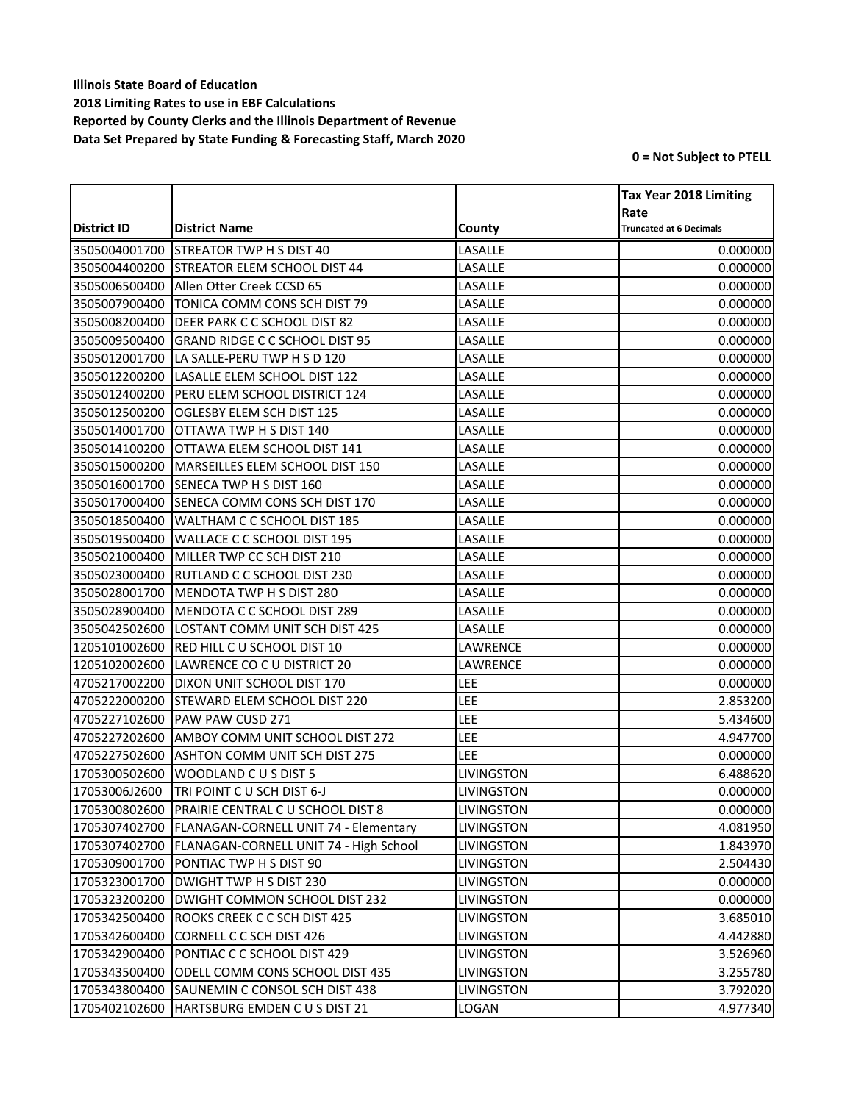|               |                                                 |                   | <b>Tax Year 2018 Limiting</b>  |
|---------------|-------------------------------------------------|-------------------|--------------------------------|
|               |                                                 |                   | Rate                           |
| District ID   | <b>District Name</b>                            | County            | <b>Truncated at 6 Decimals</b> |
| 3505004001700 | <b>STREATOR TWP H S DIST 40</b>                 | LASALLE           | 0.000000                       |
| 3505004400200 | <b>STREATOR ELEM SCHOOL DIST 44</b>             | LASALLE           | 0.000000                       |
| 3505006500400 | Allen Otter Creek CCSD 65                       | LASALLE           | 0.000000                       |
| 3505007900400 | TONICA COMM CONS SCH DIST 79                    | LASALLE           | 0.000000                       |
| 3505008200400 | <b>DEER PARK C C SCHOOL DIST 82</b>             | LASALLE           | 0.000000                       |
| 3505009500400 | <b>GRAND RIDGE C C SCHOOL DIST 95</b>           | LASALLE           | 0.000000                       |
| 3505012001700 | LA SALLE-PERU TWP H S D 120                     | LASALLE           | 0.000000                       |
| 3505012200200 | LASALLE ELEM SCHOOL DIST 122                    | LASALLE           | 0.000000                       |
| 3505012400200 | <b>PERU ELEM SCHOOL DISTRICT 124</b>            | LASALLE           | 0.000000                       |
| 3505012500200 | <b>OGLESBY ELEM SCH DIST 125</b>                | LASALLE           | 0.000000                       |
| 3505014001700 | OTTAWA TWP H S DIST 140                         | LASALLE           | 0.000000                       |
| 3505014100200 | OTTAWA ELEM SCHOOL DIST 141                     | LASALLE           | 0.000000                       |
| 3505015000200 | MARSEILLES ELEM SCHOOL DIST 150                 | LASALLE           | 0.000000                       |
| 3505016001700 | SENECA TWP H S DIST 160                         | LASALLE           | 0.000000                       |
| 3505017000400 | SENECA COMM CONS SCH DIST 170                   | LASALLE           | 0.000000                       |
| 3505018500400 | WALTHAM C C SCHOOL DIST 185                     | LASALLE           | 0.000000                       |
| 3505019500400 | WALLACE C C SCHOOL DIST 195                     | LASALLE           | 0.000000                       |
| 3505021000400 | MILLER TWP CC SCH DIST 210                      | LASALLE           | 0.000000                       |
| 3505023000400 | <b>RUTLAND C C SCHOOL DIST 230</b>              | LASALLE           | 0.000000                       |
| 3505028001700 | MENDOTA TWP H S DIST 280                        | LASALLE           | 0.000000                       |
| 3505028900400 | MENDOTA C C SCHOOL DIST 289                     | LASALLE           | 0.000000                       |
| 3505042502600 | LOSTANT COMM UNIT SCH DIST 425                  | LASALLE           | 0.000000                       |
| 1205101002600 | RED HILL C U SCHOOL DIST 10                     | LAWRENCE          | 0.000000                       |
| 1205102002600 | LAWRENCE CO C U DISTRICT 20                     | LAWRENCE          | 0.000000                       |
| 4705217002200 | DIXON UNIT SCHOOL DIST 170                      | LEE               | 0.000000                       |
| 4705222000200 | <b>STEWARD ELEM SCHOOL DIST 220</b>             | LEE               | 2.853200                       |
| 4705227102600 | PAW PAW CUSD 271                                | LEE               | 5.434600                       |
| 4705227202600 | AMBOY COMM UNIT SCHOOL DIST 272                 | LEE               | 4.947700                       |
| 4705227502600 | ASHTON COMM UNIT SCH DIST 275                   | LEE               | 0.000000                       |
| 1705300502600 | WOODLAND C U S DIST 5                           | LIVINGSTON        | 6.488620                       |
| 17053006J2600 | TRI POINT CU SCH DIST 6-J                       | <b>LIVINGSTON</b> | 0.000000                       |
|               | 1705300802600 PRAIRIE CENTRAL C U SCHOOL DIST 8 | <b>LIVINGSTON</b> | 0.000000                       |
| 1705307402700 | <b>FLANAGAN-CORNELL UNIT 74 - Elementary</b>    | LIVINGSTON        | 4.081950                       |
| 1705307402700 | FLANAGAN-CORNELL UNIT 74 - High School          | LIVINGSTON        | 1.843970                       |
| 1705309001700 | PONTIAC TWP H S DIST 90                         | LIVINGSTON        | 2.504430                       |
| 1705323001700 | DWIGHT TWP H S DIST 230                         | <b>LIVINGSTON</b> | 0.000000                       |
| 1705323200200 | <b>DWIGHT COMMON SCHOOL DIST 232</b>            | LIVINGSTON        | 0.000000                       |
| 1705342500400 | <b>ROOKS CREEK C C SCH DIST 425</b>             | LIVINGSTON        | 3.685010                       |
| 1705342600400 | CORNELL C C SCH DIST 426                        | LIVINGSTON        | 4.442880                       |
| 1705342900400 | PONTIAC C C SCHOOL DIST 429                     | <b>LIVINGSTON</b> | 3.526960                       |
| 1705343500400 | ODELL COMM CONS SCHOOL DIST 435                 | LIVINGSTON        | 3.255780                       |
| 1705343800400 | SAUNEMIN C CONSOL SCH DIST 438                  | LIVINGSTON        | 3.792020                       |
| 1705402102600 | HARTSBURG EMDEN CUS DIST 21                     | LOGAN             | 4.977340                       |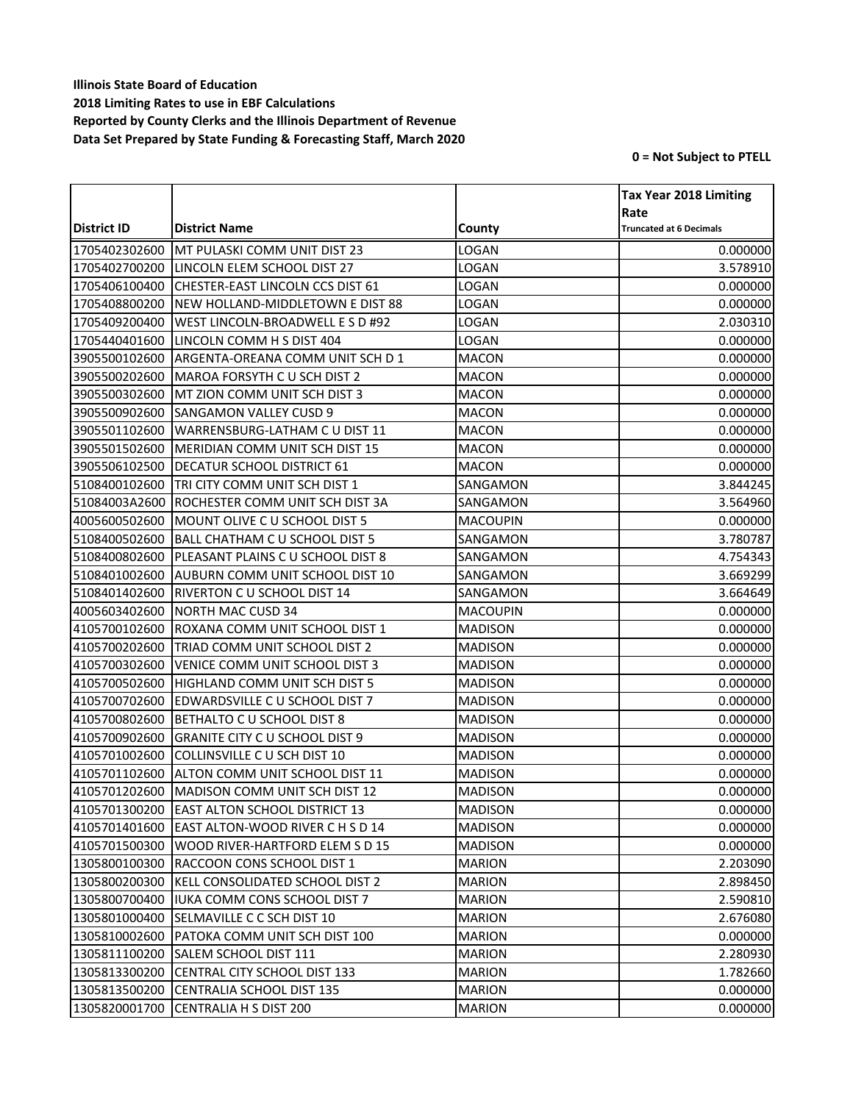|               |                                             |                 | <b>Tax Year 2018 Limiting</b>          |
|---------------|---------------------------------------------|-----------------|----------------------------------------|
| District ID   | <b>District Name</b>                        | County          | Rate<br><b>Truncated at 6 Decimals</b> |
| 1705402302600 | MT PULASKI COMM UNIT DIST 23                | LOGAN           | 0.000000                               |
| 1705402700200 | LINCOLN ELEM SCHOOL DIST 27                 | LOGAN           | 3.578910                               |
| 1705406100400 | CHESTER-EAST LINCOLN CCS DIST 61            | LOGAN           | 0.000000                               |
| 1705408800200 | NEW HOLLAND-MIDDLETOWN E DIST 88            | LOGAN           | 0.000000                               |
| 1705409200400 | WEST LINCOLN-BROADWELL E S D #92            | LOGAN           | 2.030310                               |
| 1705440401600 | LINCOLN COMM H S DIST 404                   | <b>LOGAN</b>    | 0.000000                               |
| 3905500102600 | ARGENTA-OREANA COMM UNIT SCH D 1            | <b>MACON</b>    | 0.000000                               |
| 3905500202600 | <b>MAROA FORSYTH C U SCH DIST 2</b>         | <b>MACON</b>    | 0.000000                               |
| 3905500302600 | MT ZION COMM UNIT SCH DIST 3                | <b>MACON</b>    | 0.000000                               |
| 3905500902600 | <b>SANGAMON VALLEY CUSD 9</b>               | <b>MACON</b>    | 0.000000                               |
| 3905501102600 | WARRENSBURG-LATHAM C U DIST 11              | <b>MACON</b>    | 0.000000                               |
| 3905501502600 | MERIDIAN COMM UNIT SCH DIST 15              | <b>MACON</b>    | 0.000000                               |
| 3905506102500 | <b>DECATUR SCHOOL DISTRICT 61</b>           | <b>MACON</b>    | 0.000000                               |
| 5108400102600 | TRI CITY COMM UNIT SCH DIST 1               | SANGAMON        | 3.844245                               |
| 51084003A2600 | IROCHESTER COMM UNIT SCH DIST 3A            | SANGAMON        | 3.564960                               |
| 4005600502600 | MOUNT OLIVE C U SCHOOL DIST 5               | <b>MACOUPIN</b> | 0.000000                               |
| 5108400502600 | BALL CHATHAM C U SCHOOL DIST 5              | SANGAMON        | 3.780787                               |
| 5108400802600 | PLEASANT PLAINS C U SCHOOL DIST 8           | SANGAMON        | 4.754343                               |
| 5108401002600 | AUBURN COMM UNIT SCHOOL DIST 10             | SANGAMON        | 3.669299                               |
| 5108401402600 | <b>RIVERTON C U SCHOOL DIST 14</b>          | SANGAMON        | 3.664649                               |
| 4005603402600 | <b>NORTH MAC CUSD 34</b>                    | <b>MACOUPIN</b> | 0.000000                               |
| 4105700102600 | ROXANA COMM UNIT SCHOOL DIST 1              | <b>MADISON</b>  | 0.000000                               |
| 4105700202600 | TRIAD COMM UNIT SCHOOL DIST 2               | <b>MADISON</b>  | 0.000000                               |
| 4105700302600 | VENICE COMM UNIT SCHOOL DIST 3              | <b>MADISON</b>  | 0.000000                               |
| 4105700502600 | HIGHLAND COMM UNIT SCH DIST 5               | <b>MADISON</b>  | 0.000000                               |
| 4105700702600 | <b>EDWARDSVILLE C U SCHOOL DIST 7</b>       | <b>MADISON</b>  | 0.000000                               |
| 4105700802600 | BETHALTO C U SCHOOL DIST 8                  | <b>MADISON</b>  | 0.000000                               |
| 4105700902600 | <b>GRANITE CITY C U SCHOOL DIST 9</b>       | <b>MADISON</b>  | 0.000000                               |
| 4105701002600 | COLLINSVILLE C U SCH DIST 10                | <b>MADISON</b>  | 0.000000                               |
| 4105701102600 | ALTON COMM UNIT SCHOOL DIST 11              | <b>MADISON</b>  | 0.000000                               |
| 4105701202600 | MADISON COMM UNIT SCH DIST 12               | <b>MADISON</b>  | 0.000000                               |
|               | 4105701300200 EAST ALTON SCHOOL DISTRICT 13 | <b>MADISON</b>  | 0.000000                               |
| 4105701401600 | EAST ALTON-WOOD RIVER C H S D 14            | <b>MADISON</b>  | 0.000000                               |
| 4105701500300 | WOOD RIVER-HARTFORD ELEM S D 15             | <b>MADISON</b>  | 0.000000                               |
| 1305800100300 | RACCOON CONS SCHOOL DIST 1                  | <b>MARION</b>   | 2.203090                               |
| 1305800200300 | KELL CONSOLIDATED SCHOOL DIST 2             | <b>MARION</b>   | 2.898450                               |
| 1305800700400 | <b>IUKA COMM CONS SCHOOL DIST 7</b>         | <b>MARION</b>   | 2.590810                               |
| 1305801000400 | <b>ISELMAVILLE C C SCH DIST 10</b>          | <b>MARION</b>   | 2.676080                               |
| 1305810002600 | PATOKA COMM UNIT SCH DIST 100               | <b>MARION</b>   | 0.000000                               |
| 1305811100200 | SALEM SCHOOL DIST 111                       | <b>MARION</b>   | 2.280930                               |
| 1305813300200 | CENTRAL CITY SCHOOL DIST 133                | <b>MARION</b>   | 1.782660                               |
| 1305813500200 | CENTRALIA SCHOOL DIST 135                   | <b>MARION</b>   | 0.000000                               |
| 1305820001700 | CENTRALIA H S DIST 200                      | <b>MARION</b>   | 0.000000                               |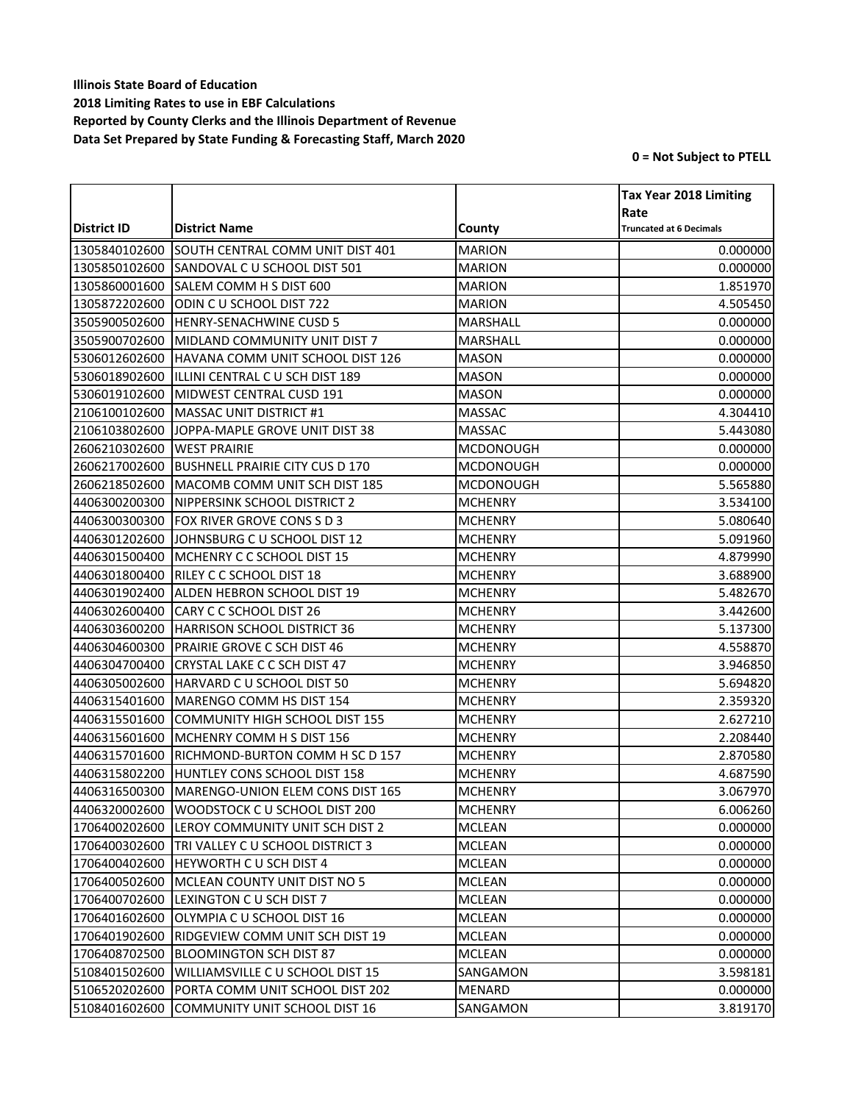|               |                                             |                  | <b>Tax Year 2018 Limiting</b>  |
|---------------|---------------------------------------------|------------------|--------------------------------|
|               |                                             |                  | Rate                           |
| District ID   | <b>District Name</b>                        | County           | <b>Truncated at 6 Decimals</b> |
| 1305840102600 | SOUTH CENTRAL COMM UNIT DIST 401            | <b>MARION</b>    | 0.000000                       |
| 1305850102600 | SANDOVAL CU SCHOOL DIST 501                 | <b>MARION</b>    | 0.000000                       |
| 1305860001600 | SALEM COMM H S DIST 600                     | <b>MARION</b>    | 1.851970                       |
| 1305872202600 | ODIN CU SCHOOL DIST 722                     | <b>MARION</b>    | 4.505450                       |
| 3505900502600 | <b>HENRY-SENACHWINE CUSD 5</b>              | MARSHALL         | 0.000000                       |
| 3505900702600 | MIDLAND COMMUNITY UNIT DIST 7               | MARSHALL         | 0.000000                       |
| 5306012602600 | HAVANA COMM UNIT SCHOOL DIST 126            | <b>MASON</b>     | 0.000000                       |
| 5306018902600 | IILLINI CENTRAL C U SCH DIST 189            | <b>MASON</b>     | 0.000000                       |
| 5306019102600 | MIDWEST CENTRAL CUSD 191                    | <b>MASON</b>     | 0.000000                       |
| 2106100102600 | MASSAC UNIT DISTRICT #1                     | <b>MASSAC</b>    | 4.304410                       |
| 2106103802600 | JOPPA-MAPLE GROVE UNIT DIST 38              | MASSAC           | 5.443080                       |
| 2606210302600 | <b>WEST PRAIRIE</b>                         | <b>MCDONOUGH</b> | 0.000000                       |
| 2606217002600 | <b>BUSHNELL PRAIRIE CITY CUS D 170</b>      | <b>MCDONOUGH</b> | 0.000000                       |
| 2606218502600 | MACOMB COMM UNIT SCH DIST 185               | <b>MCDONOUGH</b> | 5.565880                       |
| 4406300200300 | NIPPERSINK SCHOOL DISTRICT 2                | <b>MCHENRY</b>   | 3.534100                       |
| 4406300300300 | <b>FOX RIVER GROVE CONS S D 3</b>           | <b>MCHENRY</b>   | 5.080640                       |
| 4406301202600 | JOHNSBURG C U SCHOOL DIST 12                | <b>MCHENRY</b>   | 5.091960                       |
| 4406301500400 | MCHENRY C C SCHOOL DIST 15                  | <b>MCHENRY</b>   | 4.879990                       |
| 4406301800400 | <b>RILEY C C SCHOOL DIST 18</b>             | <b>MCHENRY</b>   | 3.688900                       |
| 4406301902400 | ALDEN HEBRON SCHOOL DIST 19                 | <b>MCHENRY</b>   | 5.482670                       |
| 4406302600400 | <b>CARY C C SCHOOL DIST 26</b>              | <b>MCHENRY</b>   | 3.442600                       |
| 4406303600200 | HARRISON SCHOOL DISTRICT 36                 | <b>MCHENRY</b>   | 5.137300                       |
| 4406304600300 | PRAIRIE GROVE C SCH DIST 46                 | <b>MCHENRY</b>   | 4.558870                       |
| 4406304700400 | <b>CRYSTAL LAKE C C SCH DIST 47</b>         | <b>MCHENRY</b>   | 3.946850                       |
| 4406305002600 | HARVARD C U SCHOOL DIST 50                  | <b>MCHENRY</b>   | 5.694820                       |
| 4406315401600 | MARENGO COMM HS DIST 154                    | <b>MCHENRY</b>   | 2.359320                       |
| 4406315501600 | <b>COMMUNITY HIGH SCHOOL DIST 155</b>       | <b>MCHENRY</b>   | 2.627210                       |
| 4406315601600 | MCHENRY COMM H S DIST 156                   | <b>MCHENRY</b>   | 2.208440                       |
| 4406315701600 | RICHMOND-BURTON COMM H SC D 157             | <b>MCHENRY</b>   | 2.870580                       |
| 4406315802200 | HUNTLEY CONS SCHOOL DIST 158                | <b>MCHENRY</b>   | 4.687590                       |
| 4406316500300 | MARENGO-UNION ELEM CONS DIST 165            | <b>MCHENRY</b>   | 3.067970                       |
|               | 4406320002600 WOODSTOCK C U SCHOOL DIST 200 | <b>MCHENRY</b>   | 6.006260                       |
| 1706400202600 | LEROY COMMUNITY UNIT SCH DIST 2             | <b>MCLEAN</b>    | 0.000000                       |
| 1706400302600 | TRI VALLEY C U SCHOOL DISTRICT 3            | <b>MCLEAN</b>    | 0.000000                       |
| 1706400402600 | <b>HEYWORTH CU SCH DIST 4</b>               | <b>MCLEAN</b>    | 0.000000                       |
| 1706400502600 | MCLEAN COUNTY UNIT DIST NO 5                | MCLEAN           | 0.000000                       |
| 1706400702600 | LEXINGTON C U SCH DIST 7                    | <b>MCLEAN</b>    | 0.000000                       |
| 1706401602600 | OLYMPIA C U SCHOOL DIST 16                  | MCLEAN           | 0.000000                       |
| 1706401902600 | <b>RIDGEVIEW COMM UNIT SCH DIST 19</b>      | MCLEAN           | 0.000000                       |
| 1706408702500 | <b>BLOOMINGTON SCH DIST 87</b>              | MCLEAN           | 0.000000                       |
| 5108401502600 | <b>WILLIAMSVILLE C U SCHOOL DIST 15</b>     | SANGAMON         | 3.598181                       |
| 5106520202600 | PORTA COMM UNIT SCHOOL DIST 202             | <b>MENARD</b>    | 0.000000                       |
| 5108401602600 | COMMUNITY UNIT SCHOOL DIST 16               | SANGAMON         | 3.819170                       |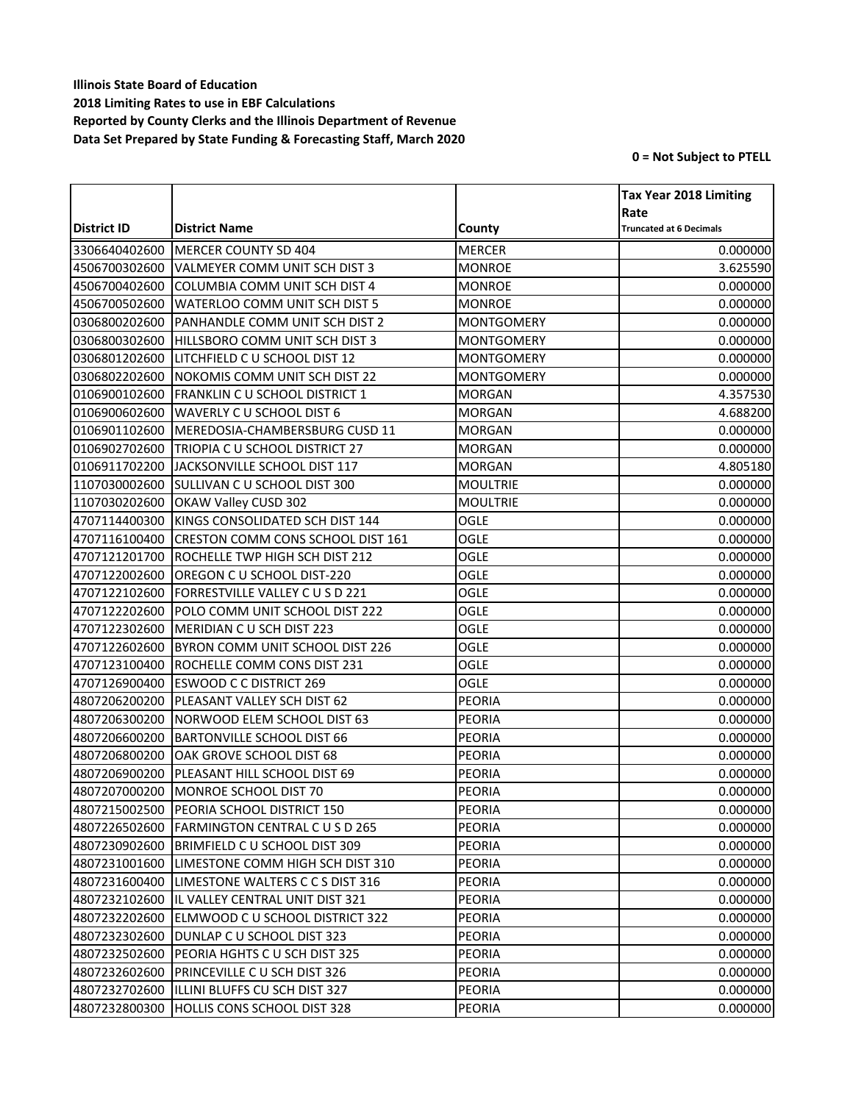|               |                                          |                   | <b>Tax Year 2018 Limiting</b>  |
|---------------|------------------------------------------|-------------------|--------------------------------|
|               |                                          |                   | Rate                           |
| District ID   | <b>District Name</b>                     | County            | <b>Truncated at 6 Decimals</b> |
| 3306640402600 | MERCER COUNTY SD 404                     | <b>MERCER</b>     | 0.000000                       |
| 4506700302600 | VALMEYER COMM UNIT SCH DIST 3            | <b>MONROE</b>     | 3.625590                       |
| 4506700402600 | <b>COLUMBIA COMM UNIT SCH DIST 4</b>     | <b>MONROE</b>     | 0.000000                       |
| 4506700502600 | WATERLOO COMM UNIT SCH DIST 5            | <b>MONROE</b>     | 0.000000                       |
| 0306800202600 | PANHANDLE COMM UNIT SCH DIST 2           | <b>MONTGOMERY</b> | 0.000000                       |
| 0306800302600 | HILLSBORO COMM UNIT SCH DIST 3           | <b>MONTGOMERY</b> | 0.000000                       |
| 0306801202600 | LITCHFIELD C U SCHOOL DIST 12            | <b>MONTGOMERY</b> | 0.000000                       |
| 0306802202600 | NOKOMIS COMM UNIT SCH DIST 22            | <b>MONTGOMERY</b> | 0.000000                       |
| 0106900102600 | <b>FRANKLIN C U SCHOOL DISTRICT 1</b>    | <b>MORGAN</b>     | 4.357530                       |
| 0106900602600 | <b>WAVERLY C U SCHOOL DIST 6</b>         | <b>MORGAN</b>     | 4.688200                       |
| 0106901102600 | MEREDOSIA-CHAMBERSBURG CUSD 11           | <b>MORGAN</b>     | 0.000000                       |
| 0106902702600 | TRIOPIA C U SCHOOL DISTRICT 27           | <b>MORGAN</b>     | 0.000000                       |
| 0106911702200 | JACKSONVILLE SCHOOL DIST 117             | <b>MORGAN</b>     | 4.805180                       |
| 1107030002600 | <b>SULLIVAN C U SCHOOL DIST 300</b>      | <b>MOULTRIE</b>   | 0.000000                       |
| 1107030202600 | OKAW Valley CUSD 302                     | <b>MOULTRIE</b>   | 0.000000                       |
| 4707114400300 | KINGS CONSOLIDATED SCH DIST 144          | <b>OGLE</b>       | 0.000000                       |
| 4707116100400 | <b>CRESTON COMM CONS SCHOOL DIST 161</b> | <b>OGLE</b>       | 0.000000                       |
| 4707121201700 | ROCHELLE TWP HIGH SCH DIST 212           | <b>OGLE</b>       | 0.000000                       |
| 4707122002600 | OREGON C U SCHOOL DIST-220               | <b>OGLE</b>       | 0.000000                       |
| 4707122102600 | FORRESTVILLE VALLEY C U S D 221          | OGLE              | 0.000000                       |
| 4707122202600 | POLO COMM UNIT SCHOOL DIST 222           | OGLE              | 0.000000                       |
| 4707122302600 | MERIDIAN C U SCH DIST 223                | <b>OGLE</b>       | 0.000000                       |
| 4707122602600 | BYRON COMM UNIT SCHOOL DIST 226          | <b>OGLE</b>       | 0.000000                       |
| 4707123100400 | ROCHELLE COMM CONS DIST 231              | <b>OGLE</b>       | 0.000000                       |
| 4707126900400 | <b>ESWOOD C C DISTRICT 269</b>           | OGLE              | 0.000000                       |
| 4807206200200 | PLEASANT VALLEY SCH DIST 62              | <b>PEORIA</b>     | 0.000000                       |
| 4807206300200 | NORWOOD ELEM SCHOOL DIST 63              | PEORIA            | 0.000000                       |
| 4807206600200 | <b>BARTONVILLE SCHOOL DIST 66</b>        | <b>PEORIA</b>     | 0.000000                       |
| 4807206800200 | OAK GROVE SCHOOL DIST 68                 | <b>PEORIA</b>     | 0.000000                       |
| 4807206900200 | PLEASANT HILL SCHOOL DIST 69             | <b>PEORIA</b>     | 0.000000                       |
| 4807207000200 | MONROE SCHOOL DIST 70                    | <b>PEORIA</b>     | 0.000000                       |
|               | 4807215002500 PEORIA SCHOOL DISTRICT 150 | <b>PEORIA</b>     | 0.000000                       |
| 4807226502600 | <b>FARMINGTON CENTRAL C U S D 265</b>    | PEORIA            | 0.000000                       |
| 4807230902600 | BRIMFIELD C U SCHOOL DIST 309            | <b>PEORIA</b>     | 0.000000                       |
| 4807231001600 | LIMESTONE COMM HIGH SCH DIST 310         | <b>PEORIA</b>     | 0.000000                       |
| 4807231600400 | LIMESTONE WALTERS C C S DIST 316         | PEORIA            | 0.000000                       |
| 4807232102600 | IL VALLEY CENTRAL UNIT DIST 321          | <b>PEORIA</b>     | 0.000000                       |
| 4807232202600 | ELMWOOD C U SCHOOL DISTRICT 322          | <b>PEORIA</b>     | 0.000000                       |
| 4807232302600 | DUNLAP C U SCHOOL DIST 323               | PEORIA            | 0.000000                       |
| 4807232502600 | PEORIA HGHTS C U SCH DIST 325            | <b>PEORIA</b>     | 0.000000                       |
| 4807232602600 | <b>PRINCEVILLE C U SCH DIST 326</b>      | <b>PEORIA</b>     | 0.000000                       |
| 4807232702600 | ILLINI BLUFFS CU SCH DIST 327            | PEORIA            | 0.000000                       |
| 4807232800300 | HOLLIS CONS SCHOOL DIST 328              | PEORIA            | 0.000000                       |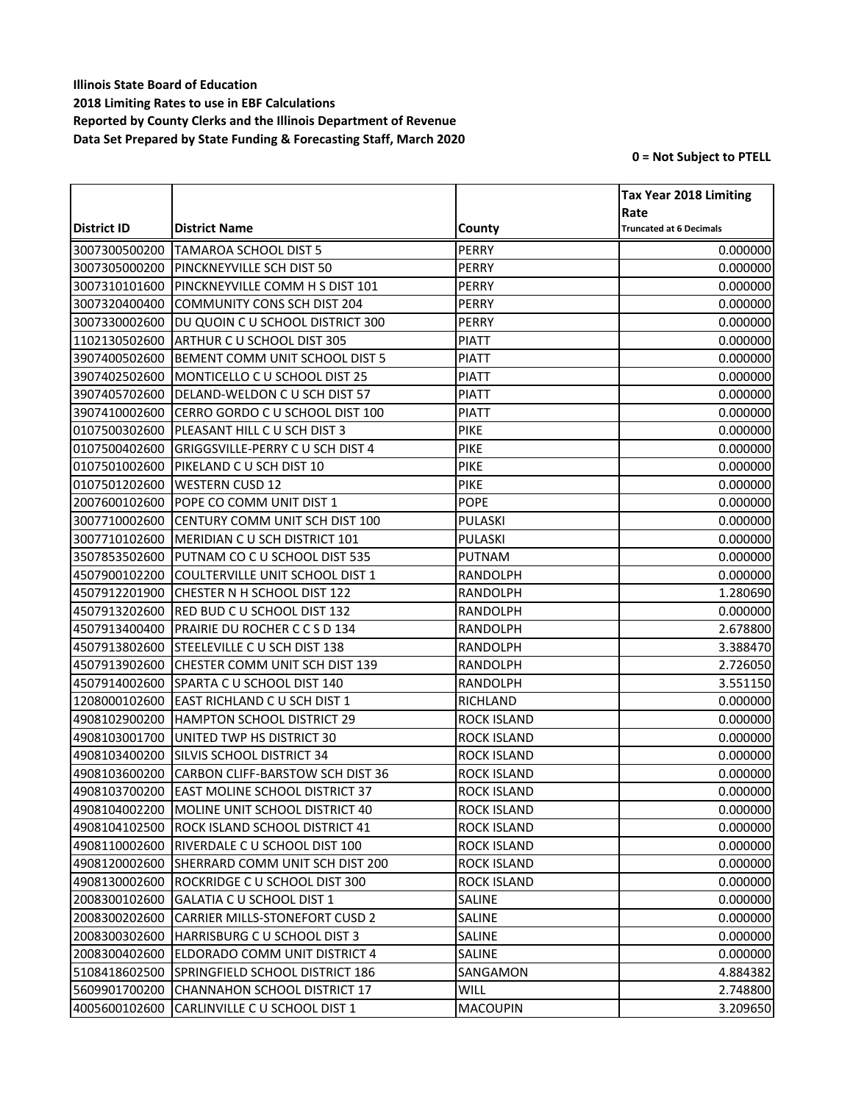|               |                                              |                    | <b>Tax Year 2018 Limiting</b>  |
|---------------|----------------------------------------------|--------------------|--------------------------------|
|               |                                              |                    | Rate                           |
| District ID   | <b>District Name</b>                         | County             | <b>Truncated at 6 Decimals</b> |
| 3007300500200 | <b>TAMAROA SCHOOL DIST 5</b>                 | <b>PERRY</b>       | 0.000000                       |
| 3007305000200 | PINCKNEYVILLE SCH DIST 50                    | <b>PERRY</b>       | 0.000000                       |
| 3007310101600 | PINCKNEYVILLE COMM H S DIST 101              | PERRY              | 0.000000                       |
| 3007320400400 | <b>COMMUNITY CONS SCH DIST 204</b>           | PERRY              | 0.000000                       |
| 3007330002600 | DU QUOIN C U SCHOOL DISTRICT 300             | <b>PERRY</b>       | 0.000000                       |
| 1102130502600 | ARTHUR C U SCHOOL DIST 305                   | <b>PIATT</b>       | 0.000000                       |
| 3907400502600 | BEMENT COMM UNIT SCHOOL DIST 5               | <b>PIATT</b>       | 0.000000                       |
| 3907402502600 | MONTICELLO C U SCHOOL DIST 25                | <b>PIATT</b>       | 0.000000                       |
| 3907405702600 | DELAND-WELDON C U SCH DIST 57                | <b>PIATT</b>       | 0.000000                       |
| 3907410002600 | CERRO GORDO C U SCHOOL DIST 100              | <b>PIATT</b>       | 0.000000                       |
| 0107500302600 | PLEASANT HILL C U SCH DIST 3                 | PIKE               | 0.000000                       |
| 0107500402600 | GRIGGSVILLE-PERRY CU SCH DIST 4              | <b>PIKE</b>        | 0.000000                       |
| 0107501002600 | PIKELAND C U SCH DIST 10                     | <b>PIKE</b>        | 0.000000                       |
| 0107501202600 | <b>WESTERN CUSD 12</b>                       | <b>PIKE</b>        | 0.000000                       |
| 2007600102600 | POPE CO COMM UNIT DIST 1                     | <b>POPE</b>        | 0.000000                       |
| 3007710002600 | CENTURY COMM UNIT SCH DIST 100               | <b>PULASKI</b>     | 0.000000                       |
| 3007710102600 | MERIDIAN CU SCH DISTRICT 101                 | PULASKI            | 0.000000                       |
| 3507853502600 | PUTNAM CO C U SCHOOL DIST 535                | <b>PUTNAM</b>      | 0.000000                       |
| 4507900102200 | COULTERVILLE UNIT SCHOOL DIST 1              | <b>RANDOLPH</b>    | 0.000000                       |
| 4507912201900 | CHESTER N H SCHOOL DIST 122                  | RANDOLPH           | 1.280690                       |
| 4507913202600 | RED BUD C U SCHOOL DIST 132                  | RANDOLPH           | 0.000000                       |
| 4507913400400 | PRAIRIE DU ROCHER C C S D 134                | <b>RANDOLPH</b>    | 2.678800                       |
| 4507913802600 | STEELEVILLE C U SCH DIST 138                 | RANDOLPH           | 3.388470                       |
| 4507913902600 | CHESTER COMM UNIT SCH DIST 139               | <b>RANDOLPH</b>    | 2.726050                       |
| 4507914002600 | SPARTA C U SCHOOL DIST 140                   | <b>RANDOLPH</b>    | 3.551150                       |
| 1208000102600 | EAST RICHLAND C U SCH DIST 1                 | RICHLAND           | 0.000000                       |
| 4908102900200 | HAMPTON SCHOOL DISTRICT 29                   | <b>ROCK ISLAND</b> | 0.000000                       |
| 4908103001700 | UNITED TWP HS DISTRICT 30                    | <b>ROCK ISLAND</b> | 0.000000                       |
| 4908103400200 | SILVIS SCHOOL DISTRICT 34                    | <b>ROCK ISLAND</b> | 0.000000                       |
| 4908103600200 | <b>CARBON CLIFF-BARSTOW SCH DIST 36</b>      | <b>ROCK ISLAND</b> | 0.000000                       |
| 4908103700200 | <b>EAST MOLINE SCHOOL DISTRICT 37</b>        | <b>ROCK ISLAND</b> | 0.000000                       |
|               | 4908104002200 MOLINE UNIT SCHOOL DISTRICT 40 | ROCK ISLAND        | 0.000000                       |
| 4908104102500 | ROCK ISLAND SCHOOL DISTRICT 41               | ROCK ISLAND        | 0.000000                       |
| 4908110002600 | RIVERDALE C U SCHOOL DIST 100                | ROCK ISLAND        | 0.000000                       |
| 4908120002600 | SHERRARD COMM UNIT SCH DIST 200              | <b>ROCK ISLAND</b> | 0.000000                       |
| 4908130002600 | ROCKRIDGE C U SCHOOL DIST 300                | ROCK ISLAND        | 0.000000                       |
| 2008300102600 | GALATIA C U SCHOOL DIST 1                    | SALINE             | 0.000000                       |
| 2008300202600 | <b>CARRIER MILLS-STONEFORT CUSD 2</b>        | SALINE             | 0.000000                       |
| 2008300302600 | HARRISBURG C U SCHOOL DIST 3                 | SALINE             | 0.000000                       |
| 2008300402600 | ELDORADO COMM UNIT DISTRICT 4                | SALINE             | 0.000000                       |
| 5108418602500 | SPRINGFIELD SCHOOL DISTRICT 186              | SANGAMON           | 4.884382                       |
| 5609901700200 | CHANNAHON SCHOOL DISTRICT 17                 | WILL               | 2.748800                       |
| 4005600102600 | CARLINVILLE C U SCHOOL DIST 1                | <b>MACOUPIN</b>    | 3.209650                       |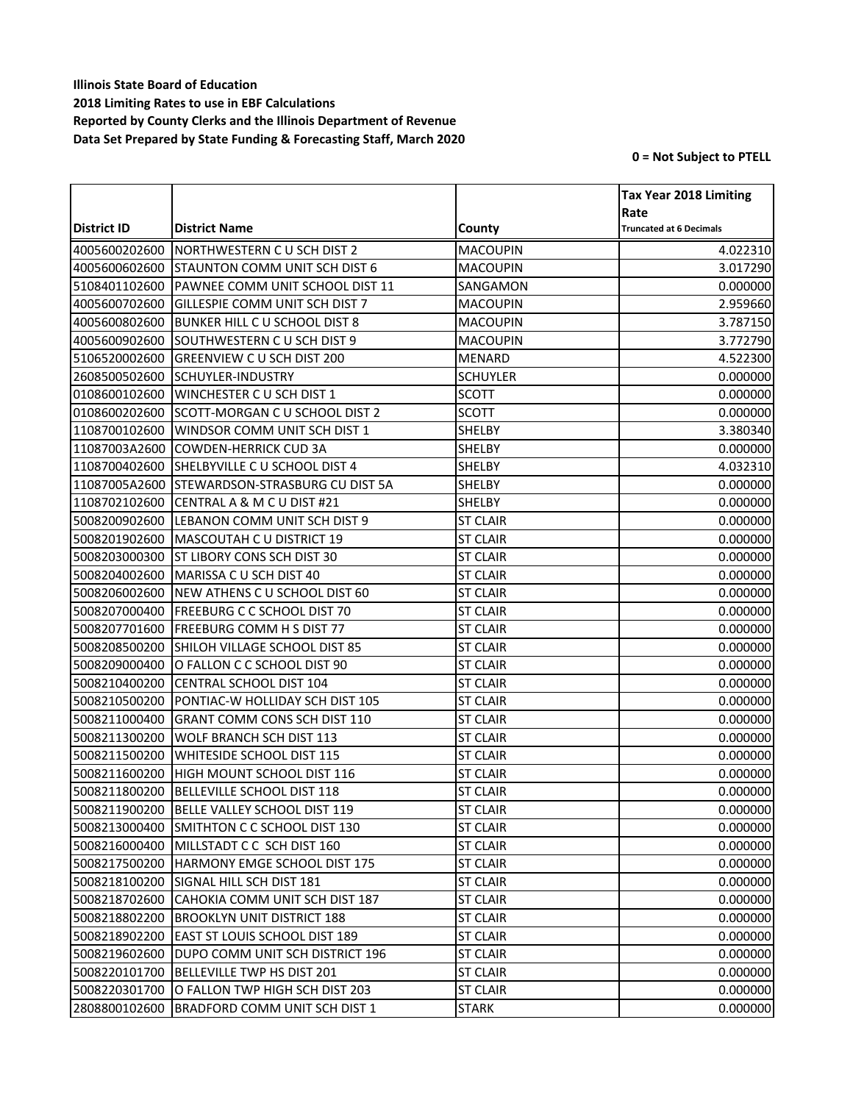|               |                                            |                 | <b>Tax Year 2018 Limiting</b>  |
|---------------|--------------------------------------------|-----------------|--------------------------------|
|               |                                            |                 | Rate                           |
| District ID   | <b>District Name</b>                       | County          | <b>Truncated at 6 Decimals</b> |
| 4005600202600 | NORTHWESTERN CU SCH DIST 2                 | <b>MACOUPIN</b> | 4.022310                       |
| 4005600602600 | <b>STAUNTON COMM UNIT SCH DIST 6</b>       | <b>MACOUPIN</b> | 3.017290                       |
| 5108401102600 | PAWNEE COMM UNIT SCHOOL DIST 11            | SANGAMON        | 0.000000                       |
| 4005600702600 | GILLESPIE COMM UNIT SCH DIST 7             | <b>MACOUPIN</b> | 2.959660                       |
| 4005600802600 | <b>BUNKER HILL C U SCHOOL DIST 8</b>       | <b>MACOUPIN</b> | 3.787150                       |
| 4005600902600 | SOUTHWESTERN C U SCH DIST 9                | <b>MACOUPIN</b> | 3.772790                       |
| 5106520002600 | <b>GREENVIEW C U SCH DIST 200</b>          | <b>MENARD</b>   | 4.522300                       |
| 2608500502600 | <b>SCHUYLER-INDUSTRY</b>                   | <b>SCHUYLER</b> | 0.000000                       |
| 0108600102600 | WINCHESTER C U SCH DIST 1                  | <b>SCOTT</b>    | 0.000000                       |
| 0108600202600 | SCOTT-MORGAN C U SCHOOL DIST 2             | <b>SCOTT</b>    | 0.000000                       |
| 1108700102600 | <b>WINDSOR COMM UNIT SCH DIST 1</b>        | SHELBY          | 3.380340                       |
| 11087003A2600 | <b>COWDEN-HERRICK CUD 3A</b>               | SHELBY          | 0.000000                       |
| 1108700402600 | SHELBYVILLE C U SCHOOL DIST 4              | SHELBY          | 4.032310                       |
| 11087005A2600 | <b>ISTEWARDSON-STRASBURG CU DIST 5A</b>    | SHELBY          | 0.000000                       |
| 1108702102600 | CENTRAL A & M C U DIST #21                 | SHELBY          | 0.000000                       |
| 5008200902600 | LEBANON COMM UNIT SCH DIST 9               | <b>ST CLAIR</b> | 0.000000                       |
| 5008201902600 | MASCOUTAH C U DISTRICT 19                  | <b>ST CLAIR</b> | 0.000000                       |
| 5008203000300 | <b>ST LIBORY CONS SCH DIST 30</b>          | <b>ST CLAIR</b> | 0.000000                       |
| 5008204002600 | MARISSA C U SCH DIST 40                    | <b>ST CLAIR</b> | 0.000000                       |
| 5008206002600 | NEW ATHENS CU SCHOOL DIST 60               | <b>ST CLAIR</b> | 0.000000                       |
| 5008207000400 | <b>FREEBURG C C SCHOOL DIST 70</b>         | <b>ST CLAIR</b> | 0.000000                       |
| 5008207701600 | <b>FREEBURG COMM H S DIST 77</b>           | <b>ST CLAIR</b> | 0.000000                       |
| 5008208500200 | SHILOH VILLAGE SCHOOL DIST 85              | <b>ST CLAIR</b> | 0.000000                       |
| 5008209000400 | O FALLON C C SCHOOL DIST 90                | <b>ST CLAIR</b> | 0.000000                       |
| 5008210400200 | CENTRAL SCHOOL DIST 104                    | <b>ST CLAIR</b> | 0.000000                       |
| 5008210500200 | PONTIAC-W HOLLIDAY SCH DIST 105            | <b>ST CLAIR</b> | 0.000000                       |
| 5008211000400 | <b>GRANT COMM CONS SCH DIST 110</b>        | <b>ST CLAIR</b> | 0.000000                       |
| 5008211300200 | WOLF BRANCH SCH DIST 113                   | <b>ST CLAIR</b> | 0.000000                       |
| 5008211500200 | <b>WHITESIDE SCHOOL DIST 115</b>           | <b>ST CLAIR</b> | 0.000000                       |
| 5008211600200 | HIGH MOUNT SCHOOL DIST 116                 | <b>ST CLAIR</b> | 0.000000                       |
| 5008211800200 | BELLEVILLE SCHOOL DIST 118                 | <b>ST CLAIR</b> | 0.000000                       |
|               | 5008211900200 BELLE VALLEY SCHOOL DIST 119 | <b>ST CLAIR</b> | 0.000000                       |
| 5008213000400 | SMITHTON C C SCHOOL DIST 130               | <b>ST CLAIR</b> | 0.000000                       |
| 5008216000400 | MILLSTADT C C SCH DIST 160                 | <b>ST CLAIR</b> | 0.000000                       |
| 5008217500200 | HARMONY EMGE SCHOOL DIST 175               | <b>ST CLAIR</b> | 0.000000                       |
| 5008218100200 | SIGNAL HILL SCH DIST 181                   | <b>ST CLAIR</b> | 0.000000                       |
| 5008218702600 | CAHOKIA COMM UNIT SCH DIST 187             | <b>ST CLAIR</b> | 0.000000                       |
| 5008218802200 | <b>BROOKLYN UNIT DISTRICT 188</b>          | <b>ST CLAIR</b> | 0.000000                       |
| 5008218902200 | <b>EAST ST LOUIS SCHOOL DIST 189</b>       | <b>ST CLAIR</b> | 0.000000                       |
| 5008219602600 | DUPO COMM UNIT SCH DISTRICT 196            | <b>ST CLAIR</b> | 0.000000                       |
| 5008220101700 | BELLEVILLE TWP HS DIST 201                 | <b>ST CLAIR</b> | 0.000000                       |
| 5008220301700 | O FALLON TWP HIGH SCH DIST 203             | <b>ST CLAIR</b> | 0.000000                       |
| 2808800102600 | BRADFORD COMM UNIT SCH DIST 1              | <b>STARK</b>    | 0.000000                       |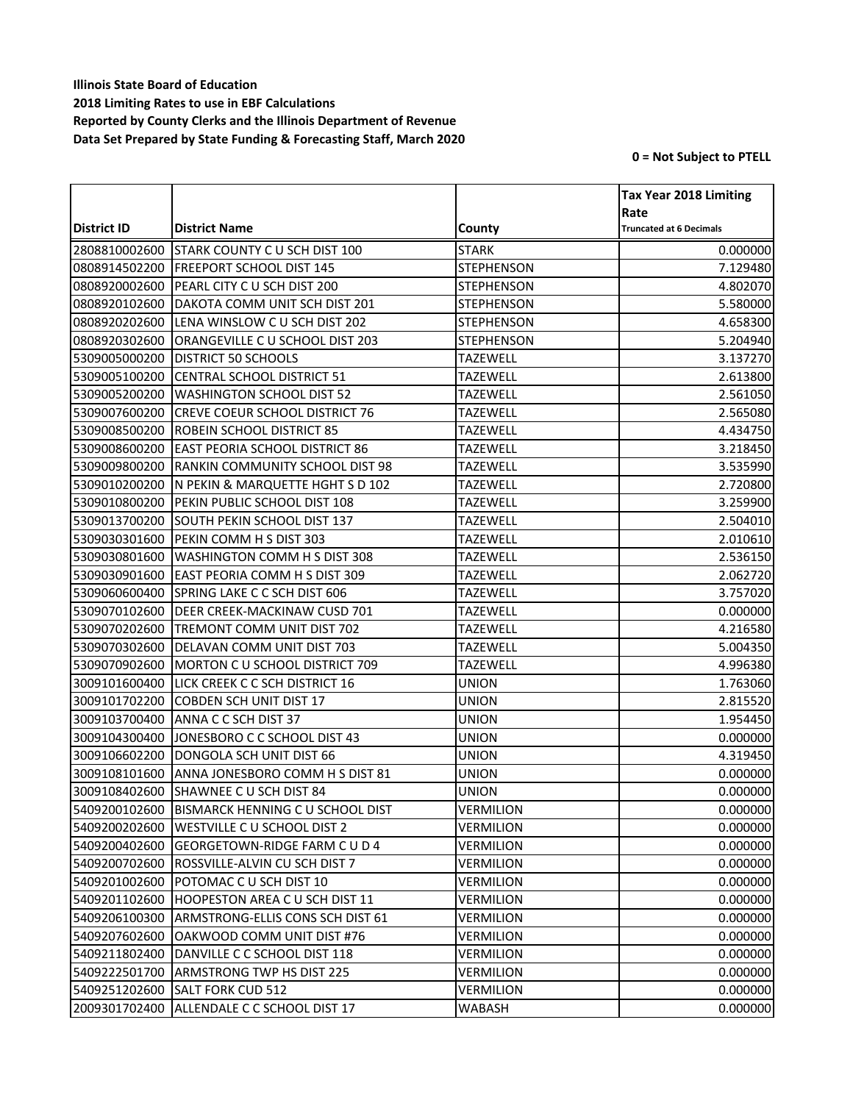|               |                                                |                   | <b>Tax Year 2018 Limiting</b>  |
|---------------|------------------------------------------------|-------------------|--------------------------------|
|               |                                                |                   | Rate                           |
| District ID   | <b>District Name</b>                           | County            | <b>Truncated at 6 Decimals</b> |
| 2808810002600 | <b>STARK COUNTY C U SCH DIST 100</b>           | <b>STARK</b>      | 0.000000                       |
| 0808914502200 | <b>FREEPORT SCHOOL DIST 145</b>                | <b>STEPHENSON</b> | 7.129480                       |
| 0808920002600 | PEARL CITY C U SCH DIST 200                    | <b>STEPHENSON</b> | 4.802070                       |
| 0808920102600 | DAKOTA COMM UNIT SCH DIST 201                  | <b>STEPHENSON</b> | 5.580000                       |
| 0808920202600 | LENA WINSLOW C U SCH DIST 202                  | <b>STEPHENSON</b> | 4.658300                       |
| 0808920302600 | ORANGEVILLE C U SCHOOL DIST 203                | <b>STEPHENSON</b> | 5.204940                       |
| 5309005000200 | <b>DISTRICT 50 SCHOOLS</b>                     | <b>TAZEWELL</b>   | 3.137270                       |
| 5309005100200 | <b>CENTRAL SCHOOL DISTRICT 51</b>              | <b>TAZEWELL</b>   | 2.613800                       |
| 5309005200200 | <b>WASHINGTON SCHOOL DIST 52</b>               | <b>TAZEWELL</b>   | 2.561050                       |
| 5309007600200 | <b>CREVE COEUR SCHOOL DISTRICT 76</b>          | <b>TAZEWELL</b>   | 2.565080                       |
| 5309008500200 | <b>ROBEIN SCHOOL DISTRICT 85</b>               | <b>TAZEWELL</b>   | 4.434750                       |
| 5309008600200 | <b>EAST PEORIA SCHOOL DISTRICT 86</b>          | <b>TAZEWELL</b>   | 3.218450                       |
| 5309009800200 | <b>RANKIN COMMUNITY SCHOOL DIST 98</b>         | <b>TAZEWELL</b>   | 3.535990                       |
| 5309010200200 | N PEKIN & MARQUETTE HGHT S D 102               | <b>TAZEWELL</b>   | 2.720800                       |
| 5309010800200 | PEKIN PUBLIC SCHOOL DIST 108                   | <b>TAZEWELL</b>   | 3.259900                       |
| 5309013700200 | SOUTH PEKIN SCHOOL DIST 137                    | <b>TAZEWELL</b>   | 2.504010                       |
| 5309030301600 | PEKIN COMM H S DIST 303                        | <b>TAZEWELL</b>   | 2.010610                       |
| 5309030801600 | <b>WASHINGTON COMM H S DIST 308</b>            | <b>TAZEWELL</b>   | 2.536150                       |
| 5309030901600 | <b>EAST PEORIA COMM H S DIST 309</b>           | <b>TAZEWELL</b>   | 2.062720                       |
| 5309060600400 | SPRING LAKE C C SCH DIST 606                   | <b>TAZEWELL</b>   | 3.757020                       |
| 5309070102600 | DEER CREEK-MACKINAW CUSD 701                   | <b>TAZEWELL</b>   | 0.000000                       |
| 5309070202600 | <b>TREMONT COMM UNIT DIST 702</b>              | <b>TAZEWELL</b>   | 4.216580                       |
| 5309070302600 | DELAVAN COMM UNIT DIST 703                     | <b>TAZEWELL</b>   | 5.004350                       |
| 5309070902600 | MORTON C U SCHOOL DISTRICT 709                 | <b>TAZEWELL</b>   | 4.996380                       |
| 3009101600400 | LICK CREEK C C SCH DISTRICT 16                 | <b>UNION</b>      | 1.763060                       |
| 3009101702200 | COBDEN SCH UNIT DIST 17                        | <b>UNION</b>      | 2.815520                       |
| 3009103700400 | ANNA C C SCH DIST 37                           | UNION             | 1.954450                       |
| 3009104300400 | JONESBORO C C SCHOOL DIST 43                   | <b>UNION</b>      | 0.000000                       |
| 3009106602200 | DONGOLA SCH UNIT DIST 66                       | <b>UNION</b>      | 4.319450                       |
| 3009108101600 | ANNA JONESBORO COMM H S DIST 81                | <b>UNION</b>      | 0.000000                       |
| 3009108402600 | SHAWNEE C U SCH DIST 84                        | <b>UNION</b>      | 0.000000                       |
|               | 5409200102600 BISMARCK HENNING C U SCHOOL DIST | <b>VERMILION</b>  | 0.000000                       |
| 5409200202600 | WESTVILLE C U SCHOOL DIST 2                    | <b>VERMILION</b>  | 0.000000                       |
| 5409200402600 | GEORGETOWN-RIDGE FARM C U D 4                  | VERMILION         | 0.000000                       |
| 5409200702600 | ROSSVILLE-ALVIN CU SCH DIST 7                  | VERMILION         | 0.000000                       |
| 5409201002600 | POTOMAC C U SCH DIST 10                        | VERMILION         | 0.000000                       |
| 5409201102600 | <b>HOOPESTON AREA C U SCH DIST 11</b>          | VERMILION         | 0.000000                       |
| 5409206100300 | ARMSTRONG-ELLIS CONS SCH DIST 61               | VERMILION         | 0.000000                       |
| 5409207602600 | OAKWOOD COMM UNIT DIST #76                     | VERMILION         | 0.000000                       |
| 5409211802400 | DANVILLE C C SCHOOL DIST 118                   | VERMILION         | 0.000000                       |
| 5409222501700 | <b>ARMSTRONG TWP HS DIST 225</b>               | VERMILION         | 0.000000                       |
| 5409251202600 | <b>SALT FORK CUD 512</b>                       | VERMILION         | 0.000000                       |
| 2009301702400 | ALLENDALE C C SCHOOL DIST 17                   | WABASH            | 0.000000                       |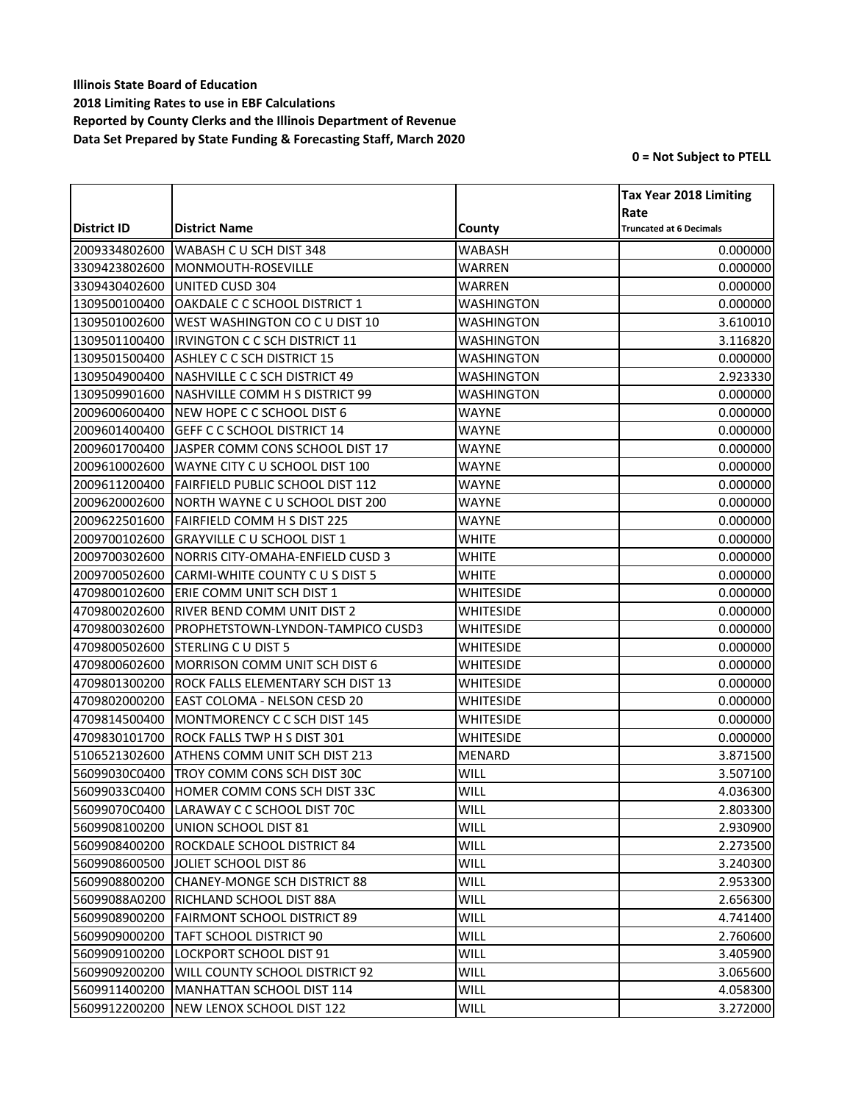|               |                                          |               | <b>Tax Year 2018 Limiting</b>          |
|---------------|------------------------------------------|---------------|----------------------------------------|
| District ID   | <b>District Name</b>                     | County        | Rate<br><b>Truncated at 6 Decimals</b> |
| 2009334802600 | <b>WABASH CU SCH DIST 348</b>            | WABASH        | 0.000000                               |
| 3309423802600 | MONMOUTH-ROSEVILLE                       | WARREN        | 0.000000                               |
| 3309430402600 | UNITED CUSD 304                          | WARREN        | 0.000000                               |
| 1309500100400 | OAKDALE C C SCHOOL DISTRICT 1            | WASHINGTON    | 0.000000                               |
| 1309501002600 | <b>WEST WASHINGTON CO C U DIST 10</b>    | WASHINGTON    | 3.610010                               |
| 1309501100400 | IIRVINGTON C C SCH DISTRICT 11           | WASHINGTON    | 3.116820                               |
| 1309501500400 | <b>ASHLEY C C SCH DISTRICT 15</b>        | WASHINGTON    | 0.000000                               |
| 1309504900400 | NASHVILLE C C SCH DISTRICT 49            | WASHINGTON    | 2.923330                               |
| 1309509901600 | NASHVILLE COMM H S DISTRICT 99           | WASHINGTON    | 0.000000                               |
| 2009600600400 | NEW HOPE C C SCHOOL DIST 6               | <b>WAYNE</b>  | 0.000000                               |
| 2009601400400 | <b>GEFF C C SCHOOL DISTRICT 14</b>       | WAYNE         | 0.000000                               |
| 2009601700400 | <b>JASPER COMM CONS SCHOOL DIST 17</b>   | WAYNE         | 0.000000                               |
| 2009610002600 | WAYNE CITY C U SCHOOL DIST 100           | <b>WAYNE</b>  | 0.000000                               |
| 2009611200400 | <b>FAIRFIELD PUBLIC SCHOOL DIST 112</b>  | <b>WAYNE</b>  | 0.000000                               |
| 2009620002600 | INORTH WAYNE C U SCHOOL DIST 200         | WAYNE         | 0.000000                               |
| 2009622501600 | <b>FAIRFIELD COMM H S DIST 225</b>       | WAYNE         | 0.000000                               |
| 2009700102600 | <b>GRAYVILLE C U SCHOOL DIST 1</b>       | WHITE         | 0.000000                               |
| 2009700302600 | NORRIS CITY-OMAHA-ENFIELD CUSD 3         | <b>WHITE</b>  | 0.000000                               |
| 2009700502600 | CARMI-WHITE COUNTY C U S DIST 5          | WHITE         | 0.000000                               |
| 4709800102600 | <b>ERIE COMM UNIT SCH DIST 1</b>         | WHITESIDE     | 0.000000                               |
| 4709800202600 | <b>RIVER BEND COMM UNIT DIST 2</b>       | WHITESIDE     | 0.000000                               |
| 4709800302600 | PROPHETSTOWN-LYNDON-TAMPICO CUSD3        | WHITESIDE     | 0.000000                               |
| 4709800502600 | <b>STERLING C U DIST 5</b>               | WHITESIDE     | 0.000000                               |
| 4709800602600 | MORRISON COMM UNIT SCH DIST 6            | WHITESIDE     | 0.000000                               |
| 4709801300200 | <b>ROCK FALLS ELEMENTARY SCH DIST 13</b> | WHITESIDE     | 0.000000                               |
| 4709802000200 | <b>EAST COLOMA - NELSON CESD 20</b>      | WHITESIDE     | 0.000000                               |
| 4709814500400 | MONTMORENCY C C SCH DIST 145             | WHITESIDE     | 0.000000                               |
| 4709830101700 | <b>ROCK FALLS TWP H S DIST 301</b>       | WHITESIDE     | 0.000000                               |
| 5106521302600 | ATHENS COMM UNIT SCH DIST 213            | <b>MENARD</b> | 3.871500                               |
| 56099030C0400 | TROY COMM CONS SCH DIST 30C              | WILL          | 3.507100                               |
| 56099033C0400 | HOMER COMM CONS SCH DIST 33C             | WILL          | 4.036300                               |
| 56099070C0400 | LARAWAY C C SCHOOL DIST 70C              | WILL          | 2.803300                               |
| 5609908100200 | UNION SCHOOL DIST 81                     | WILL          | 2.930900                               |
| 5609908400200 | ROCKDALE SCHOOL DISTRICT 84              | WILL          | 2.273500                               |
| 5609908600500 | JOLIET SCHOOL DIST 86                    | WILL          | 3.240300                               |
| 5609908800200 | ICHANEY-MONGE SCH DISTRICT 88            | WILL          | 2.953300                               |
| 56099088A0200 | <b>RICHLAND SCHOOL DIST 88A</b>          | WILL          | 2.656300                               |
| 5609908900200 | <b>FAIRMONT SCHOOL DISTRICT 89</b>       | WILL          | 4.741400                               |
| 5609909000200 | <b>ITAFT SCHOOL DISTRICT 90</b>          | WILL          | 2.760600                               |
| 5609909100200 | <b>LOCKPORT SCHOOL DIST 91</b>           | WILL          | 3.405900                               |
| 5609909200200 | <b>WILL COUNTY SCHOOL DISTRICT 92</b>    | WILL          | 3.065600                               |
| 5609911400200 | MANHATTAN SCHOOL DIST 114                | <b>WILL</b>   | 4.058300                               |
| 5609912200200 | NEW LENOX SCHOOL DIST 122                | WILL          | 3.272000                               |